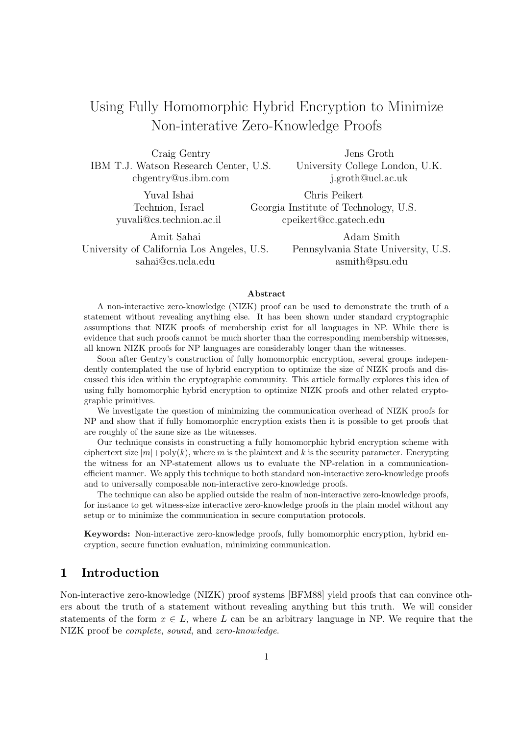# Using Fully Homomorphic Hybrid Encryption to Minimize Non-interative Zero-Knowledge Proofs

Craig Gentry IBM T.J. Watson Research Center, U.S. cbgentry@us.ibm.com

> Yuval Ishai Technion, Israel yuvali@cs.technion.ac.il

Jens Groth University College London, U.K. j.groth@ucl.ac.uk

Chris Peikert Georgia Institute of Technology, U.S. cpeikert@cc.gatech.edu

Amit Sahai University of California Los Angeles, U.S. sahai@cs.ucla.edu

Adam Smith Pennsylvania State University, U.S. asmith@psu.edu

#### Abstract

A non-interactive zero-knowledge (NIZK) proof can be used to demonstrate the truth of a statement without revealing anything else. It has been shown under standard cryptographic assumptions that NIZK proofs of membership exist for all languages in NP. While there is evidence that such proofs cannot be much shorter than the corresponding membership witnesses, all known NIZK proofs for NP languages are considerably longer than the witnesses.

Soon after Gentry's construction of fully homomorphic encryption, several groups independently contemplated the use of hybrid encryption to optimize the size of NIZK proofs and discussed this idea within the cryptographic community. This article formally explores this idea of using fully homomorphic hybrid encryption to optimize NIZK proofs and other related cryptographic primitives.

We investigate the question of minimizing the communication overhead of NIZK proofs for NP and show that if fully homomorphic encryption exists then it is possible to get proofs that are roughly of the same size as the witnesses.

Our technique consists in constructing a fully homomorphic hybrid encryption scheme with ciphertext size  $|m|$ +poly $(k)$ , where m is the plaintext and k is the security parameter. Encrypting the witness for an NP-statement allows us to evaluate the NP-relation in a communicationefficient manner. We apply this technique to both standard non-interactive zero-knowledge proofs and to universally composable non-interactive zero-knowledge proofs.

The technique can also be applied outside the realm of non-interactive zero-knowledge proofs, for instance to get witness-size interactive zero-knowledge proofs in the plain model without any setup or to minimize the communication in secure computation protocols.

Keywords: Non-interactive zero-knowledge proofs, fully homomorphic encryption, hybrid encryption, secure function evaluation, minimizing communication.

### 1 Introduction

Non-interactive zero-knowledge (NIZK) proof systems [BFM88] yield proofs that can convince others about the truth of a statement without revealing anything but this truth. We will consider statements of the form  $x \in L$ , where L can be an arbitrary language in NP. We require that the NIZK proof be complete, sound, and zero-knowledge.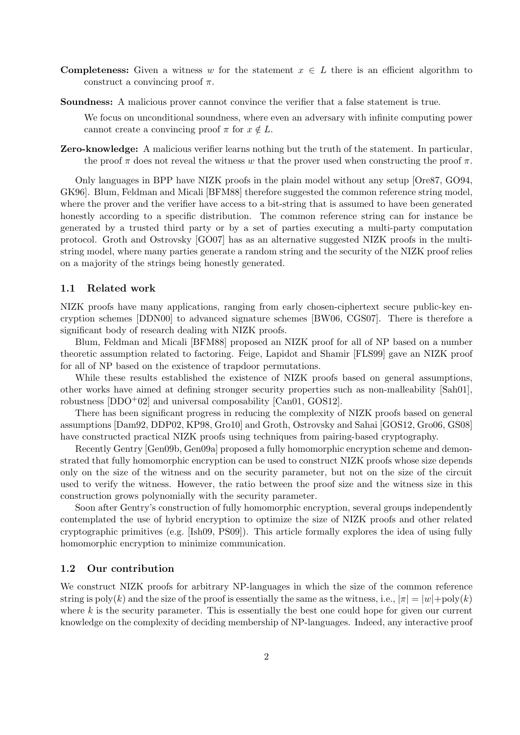- **Completeness:** Given a witness w for the statement  $x \in L$  there is an efficient algorithm to construct a convincing proof  $\pi$ .
- Soundness: A malicious prover cannot convince the verifier that a false statement is true.

We focus on unconditional soundness, where even an adversary with infinite computing power cannot create a convincing proof  $\pi$  for  $x \notin L$ .

Zero-knowledge: A malicious verifier learns nothing but the truth of the statement. In particular, the proof  $\pi$  does not reveal the witness w that the prover used when constructing the proof  $\pi$ .

Only languages in BPP have NIZK proofs in the plain model without any setup [Ore87, GO94, GK96]. Blum, Feldman and Micali [BFM88] therefore suggested the common reference string model, where the prover and the verifier have access to a bit-string that is assumed to have been generated honestly according to a specific distribution. The common reference string can for instance be generated by a trusted third party or by a set of parties executing a multi-party computation protocol. Groth and Ostrovsky [GO07] has as an alternative suggested NIZK proofs in the multistring model, where many parties generate a random string and the security of the NIZK proof relies on a majority of the strings being honestly generated.

#### 1.1 Related work

NIZK proofs have many applications, ranging from early chosen-ciphertext secure public-key encryption schemes [DDN00] to advanced signature schemes [BW06, CGS07]. There is therefore a significant body of research dealing with NIZK proofs.

Blum, Feldman and Micali [BFM88] proposed an NIZK proof for all of NP based on a number theoretic assumption related to factoring. Feige, Lapidot and Shamir [FLS99] gave an NIZK proof for all of NP based on the existence of trapdoor permutations.

While these results established the existence of NIZK proofs based on general assumptions, other works have aimed at defining stronger security properties such as non-malleability [Sah01], robustness  $[DDO<sup>+</sup>02]$  and universal composability  $[Can01, GOS12]$ .

There has been significant progress in reducing the complexity of NIZK proofs based on general assumptions [Dam92, DDP02, KP98, Gro10] and Groth, Ostrovsky and Sahai [GOS12, Gro06, GS08] have constructed practical NIZK proofs using techniques from pairing-based cryptography.

Recently Gentry [Gen09b, Gen09a] proposed a fully homomorphic encryption scheme and demonstrated that fully homomorphic encryption can be used to construct NIZK proofs whose size depends only on the size of the witness and on the security parameter, but not on the size of the circuit used to verify the witness. However, the ratio between the proof size and the witness size in this construction grows polynomially with the security parameter.

Soon after Gentry's construction of fully homomorphic encryption, several groups independently contemplated the use of hybrid encryption to optimize the size of NIZK proofs and other related cryptographic primitives (e.g. [Ish09, PS09]). This article formally explores the idea of using fully homomorphic encryption to minimize communication.

### 1.2 Our contribution

We construct NIZK proofs for arbitrary NP-languages in which the size of the common reference string is  $poly(k)$  and the size of the proof is essentially the same as the witness, i.e.,  $|\pi| = |w| + poly(k)$ where  $k$  is the security parameter. This is essentially the best one could hope for given our current knowledge on the complexity of deciding membership of NP-languages. Indeed, any interactive proof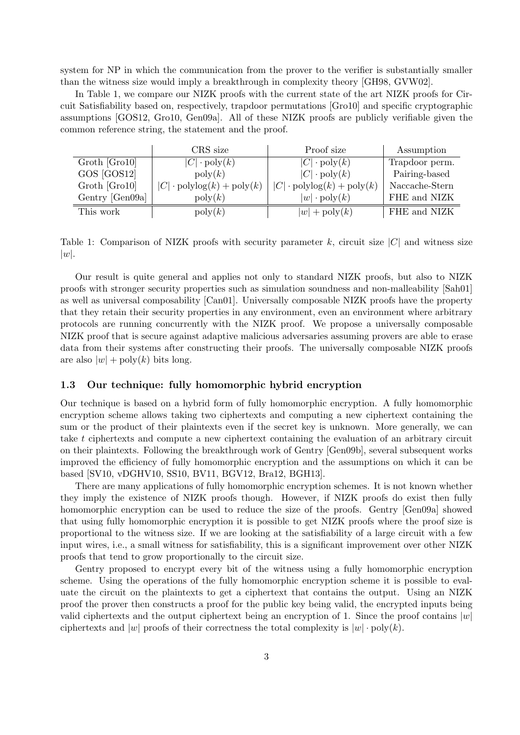system for NP in which the communication from the prover to the verifier is substantially smaller than the witness size would imply a breakthrough in complexity theory [GH98, GVW02].

In Table 1, we compare our NIZK proofs with the current state of the art NIZK proofs for Circuit Satisfiability based on, respectively, trapdoor permutations [Gro10] and specific cryptographic assumptions [GOS12, Gro10, Gen09a]. All of these NIZK proofs are publicly verifiable given the common reference string, the statement and the proof.

|                 | CRS size                                       | Proof size                                     | Assumption     |
|-----------------|------------------------------------------------|------------------------------------------------|----------------|
| Groth [Gro10]   | $ C  \cdot \text{poly}(k)$                     | $ C  \cdot \text{poly}(k)$                     | Trapdoor perm. |
| GOS [GOS12]     | $\mathrm{poly}(k)$                             | $ C  \cdot \text{poly}(k)$                     | Pairing-based  |
| Groth [Gro10]   | $ C  \cdot \text{polylog}(k) + \text{poly}(k)$ | $ C  \cdot \text{polylog}(k) + \text{poly}(k)$ | Naccache-Stern |
| Gentry [Gen09a] | $\text{poly}(k)$                               | $ w  \cdot \text{poly}(k)$                     | FHE and NIZK   |
| This work       | $\mathrm{poly}(k)$                             | $ w $ + poly $(k)$                             | FHE and NIZK   |

Table 1: Comparison of NIZK proofs with security parameter k, circuit size  $|C|$  and witness size  $|w|$ .

Our result is quite general and applies not only to standard NIZK proofs, but also to NIZK proofs with stronger security properties such as simulation soundness and non-malleability [Sah01] as well as universal composability [Can01]. Universally composable NIZK proofs have the property that they retain their security properties in any environment, even an environment where arbitrary protocols are running concurrently with the NIZK proof. We propose a universally composable NIZK proof that is secure against adaptive malicious adversaries assuming provers are able to erase data from their systems after constructing their proofs. The universally composable NIZK proofs are also  $|w| + \text{poly}(k)$  bits long.

### 1.3 Our technique: fully homomorphic hybrid encryption

Our technique is based on a hybrid form of fully homomorphic encryption. A fully homomorphic encryption scheme allows taking two ciphertexts and computing a new ciphertext containing the sum or the product of their plaintexts even if the secret key is unknown. More generally, we can take t ciphertexts and compute a new ciphertext containing the evaluation of an arbitrary circuit on their plaintexts. Following the breakthrough work of Gentry [Gen09b], several subsequent works improved the efficiency of fully homomorphic encryption and the assumptions on which it can be based [SV10, vDGHV10, SS10, BV11, BGV12, Bra12, BGH13].

There are many applications of fully homomorphic encryption schemes. It is not known whether they imply the existence of NIZK proofs though. However, if NIZK proofs do exist then fully homomorphic encryption can be used to reduce the size of the proofs. Gentry [Gen09a] showed that using fully homomorphic encryption it is possible to get NIZK proofs where the proof size is proportional to the witness size. If we are looking at the satisfiability of a large circuit with a few input wires, i.e., a small witness for satisfiability, this is a significant improvement over other NIZK proofs that tend to grow proportionally to the circuit size.

Gentry proposed to encrypt every bit of the witness using a fully homomorphic encryption scheme. Using the operations of the fully homomorphic encryption scheme it is possible to evaluate the circuit on the plaintexts to get a ciphertext that contains the output. Using an NIZK proof the prover then constructs a proof for the public key being valid, the encrypted inputs being valid ciphertexts and the output ciphertext being an encryption of 1. Since the proof contains  $|w|$ ciphertexts and  $|w|$  proofs of their correctness the total complexity is  $|w| \cdot \text{poly}(k)$ .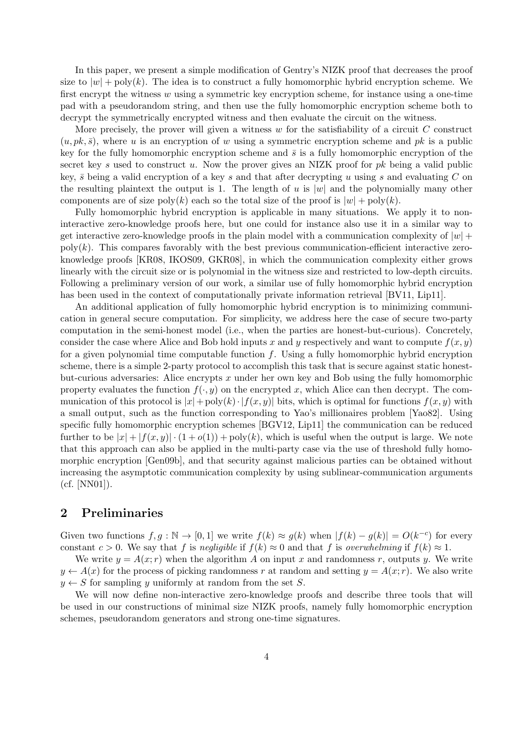In this paper, we present a simple modification of Gentry's NIZK proof that decreases the proof size to  $|w|$  + poly(k). The idea is to construct a fully homomorphic hybrid encryption scheme. We first encrypt the witness  $w$  using a symmetric key encryption scheme, for instance using a one-time pad with a pseudorandom string, and then use the fully homomorphic encryption scheme both to decrypt the symmetrically encrypted witness and then evaluate the circuit on the witness.

More precisely, the prover will given a witness  $w$  for the satisfiability of a circuit  $C$  construct  $(u, pk, \bar{s})$ , where u is an encryption of w using a symmetric encryption scheme and pk is a public key for the fully homomorphic encryption scheme and  $\bar{s}$  is a fully homomorphic encryption of the secret key s used to construct u. Now the prover gives an NIZK proof for  $pk$  being a valid public key,  $\bar{s}$  being a valid encryption of a key s and that after decrypting u using s and evaluating C on the resulting plaintext the output is 1. The length of u is  $|w|$  and the polynomially many other components are of size poly(k) each so the total size of the proof is  $|w| + \text{poly}(k)$ .

Fully homomorphic hybrid encryption is applicable in many situations. We apply it to noninteractive zero-knowledge proofs here, but one could for instance also use it in a similar way to get interactive zero-knowledge proofs in the plain model with a communication complexity of  $|w|$  +  $poly(k)$ . This compares favorably with the best previous communication-efficient interactive zeroknowledge proofs [KR08, IKOS09, GKR08], in which the communication complexity either grows linearly with the circuit size or is polynomial in the witness size and restricted to low-depth circuits. Following a preliminary version of our work, a similar use of fully homomorphic hybrid encryption has been used in the context of computationally private information retrieval [BV11, Lip11].

An additional application of fully homomorphic hybrid encryption is to minimizing communication in general secure computation. For simplicity, we address here the case of secure two-party computation in the semi-honest model (i.e., when the parties are honest-but-curious). Concretely, consider the case where Alice and Bob hold inputs x and y respectively and want to compute  $f(x, y)$ for a given polynomial time computable function  $f$ . Using a fully homomorphic hybrid encryption scheme, there is a simple 2-party protocol to accomplish this task that is secure against static honestbut-curious adversaries: Alice encrypts x under her own key and Bob using the fully homomorphic property evaluates the function  $f(\cdot, y)$  on the encrypted x, which Alice can then decrypt. The communication of this protocol is  $|x| + \text{poly}(k) \cdot |f(x, y)|$  bits, which is optimal for functions  $f(x, y)$  with a small output, such as the function corresponding to Yao's millionaires problem [Yao82]. Using specific fully homomorphic encryption schemes [BGV12, Lip11] the communication can be reduced further to be  $|x| + |f(x, y)| \cdot (1 + o(1)) + \text{poly}(k)$ , which is useful when the output is large. We note that this approach can also be applied in the multi-party case via the use of threshold fully homomorphic encryption [Gen09b], and that security against malicious parties can be obtained without increasing the asymptotic communication complexity by using sublinear-communication arguments (cf. [NN01]).

### 2 Preliminaries

Given two functions  $f, g : \mathbb{N} \to [0, 1]$  we write  $f(k) \approx g(k)$  when  $|f(k) - g(k)| = O(k^{-c})$  for every constant  $c > 0$ . We say that f is negligible if  $f(k) \approx 0$  and that f is overwhelming if  $f(k) \approx 1$ .

We write  $y = A(x; r)$  when the algorithm A on input x and randomness r, outputs y. We write  $y \leftarrow A(x)$  for the process of picking randomness r at random and setting  $y = A(x; r)$ . We also write  $y \leftarrow S$  for sampling y uniformly at random from the set S.

We will now define non-interactive zero-knowledge proofs and describe three tools that will be used in our constructions of minimal size NIZK proofs, namely fully homomorphic encryption schemes, pseudorandom generators and strong one-time signatures.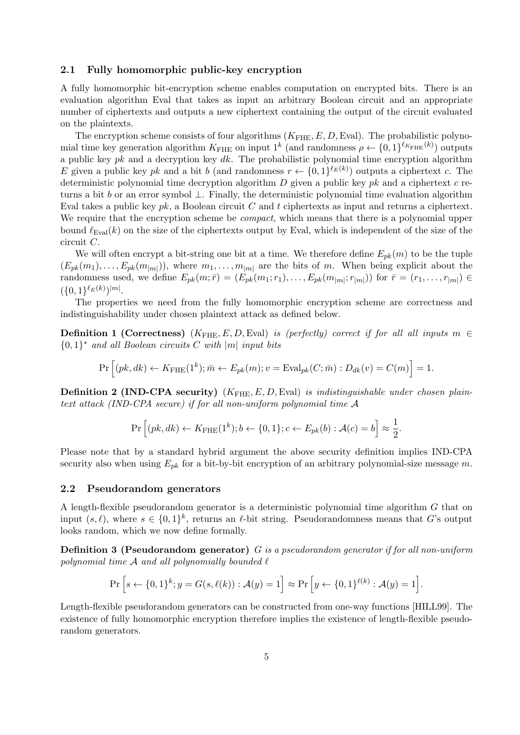### 2.1 Fully homomorphic public-key encryption

A fully homomorphic bit-encryption scheme enables computation on encrypted bits. There is an evaluation algorithm Eval that takes as input an arbitrary Boolean circuit and an appropriate number of ciphertexts and outputs a new ciphertext containing the output of the circuit evaluated on the plaintexts.

The encryption scheme consists of four algorithms  $(K_{\text{FHE}}, E, D, \text{Eval})$ . The probabilistic polynomial time key generation algorithm  $K_{\text{FHE}}$  on input  $1^k$  (and randomness  $\rho \leftarrow \{0,1\}^{\ell_{K_{\text{FHE}}}(k)}$ ) outputs a public key  $pk$  and a decryption key  $dk$ . The probabilistic polynomial time encryption algorithm E given a public key pk and a bit b (and randomness  $r \leftarrow \{0,1\}^{\ell_E(k)}$ ) outputs a ciphertext c. The deterministic polynomial time decryption algorithm  $D$  given a public key  $pk$  and a ciphertext  $c$  returns a bit b or an error symbol  $\perp$ . Finally, the deterministic polynomial time evaluation algorithm Eval takes a public key  $pk$ , a Boolean circuit C and t ciphertexts as input and returns a ciphertext. We require that the encryption scheme be *compact*, which means that there is a polynomial upper bound  $\ell_{\text{Eval}}(k)$  on the size of the ciphertexts output by Eval, which is independent of the size of the circuit C.

We will often encrypt a bit-string one bit at a time. We therefore define  $E_{nk}(m)$  to be the tuple  $(E_{pk}(m_1), \ldots, E_{pk}(m_{|m|}))$ , where  $m_1, \ldots, m_{|m|}$  are the bits of m. When being explicit about the randomness used, we define  $E_{pk}(m; \bar{r}) = (E_{pk}(m_1; r_1), \ldots, E_{pk}(m_{|m|}; r_{|m|}))$  for  $\bar{r} = (r_1, \ldots, r_{|m|}) \in$  $({0,1}^{\ell_E(k)})^{|m|}$ .

The properties we need from the fully homomorphic encryption scheme are correctness and indistinguishability under chosen plaintext attack as defined below.

**Definition 1 (Correctness)** ( $K_{\text{FHE}}, E, D, \text{Eval}$ ) is (perfectly) correct if for all all inputs  $m \in$  ${0,1}^*$  and all Boolean circuits C with  $|m|$  input bits

$$
\Pr\left[(pk,dk) \leftarrow K_{\text{FHE}}(1^k); \bar{m} \leftarrow E_{pk}(m); v = \text{Eval}_{pk}(C; \bar{m}) : D_{dk}(v) = C(m)\right] = 1.
$$

**Definition 2 (IND-CPA security)**  $(K_{\text{FHE}}, E, D, \text{Eval})$  is indistinguishable under chosen plaintext attack (IND-CPA secure) if for all non-uniform polynomial time A

$$
\Pr\left[(pk,dk) \leftarrow K_{\text{FHE}}(1^k); b \leftarrow \{0,1\}; c \leftarrow E_{pk}(b): \mathcal{A}(c) = b\right] \approx \frac{1}{2}.
$$

Please note that by a standard hybrid argument the above security definition implies IND-CPA security also when using  $E_{pk}$  for a bit-by-bit encryption of an arbitrary polynomial-size message m.

#### 2.2 Pseudorandom generators

A length-flexible pseudorandom generator is a deterministic polynomial time algorithm G that on input  $(s, \ell)$ , where  $s \in \{0, 1\}^k$ , returns an  $\ell$ -bit string. Pseudorandomness means that G's output looks random, which we now define formally.

Definition 3 (Pseudorandom generator) G is a pseudorandom generator if for all non-uniform polynomial time  $A$  and all polynomially bounded  $\ell$ 

$$
\Pr\left[s \leftarrow \{0,1\}^k; y = G(s,\ell(k)) : \mathcal{A}(y) = 1\right] \approx \Pr\left[y \leftarrow \{0,1\}^{\ell(k)} : \mathcal{A}(y) = 1\right].
$$

Length-flexible pseudorandom generators can be constructed from one-way functions [HILL99]. The existence of fully homomorphic encryption therefore implies the existence of length-flexible pseudorandom generators.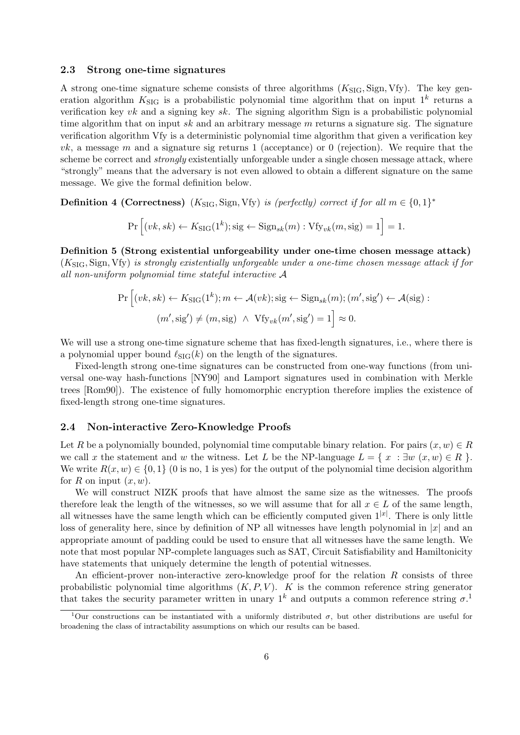#### 2.3 Strong one-time signatures

A strong one-time signature scheme consists of three algorithms  $(K_{\text{SIG}}$ , Sign, Vfy). The key generation algorithm  $K_{\text{SIG}}$  is a probabilistic polynomial time algorithm that on input  $1^k$  returns a verification key  $vk$  and a signing key  $sk$ . The signing algorithm Sign is a probabilistic polynomial time algorithm that on input sk and an arbitrary message  $m$  returns a signature sig. The signature verification algorithm Vfy is a deterministic polynomial time algorithm that given a verification key  $vk$ , a message m and a signature sig returns 1 (acceptance) or 0 (rejection). We require that the scheme be correct and *strongly* existentially unforgeable under a single chosen message attack, where "strongly" means that the adversary is not even allowed to obtain a different signature on the same message. We give the formal definition below.

**Definition 4 (Correctness)**  $(K_{\text{SIG}}, \text{Sign}, \text{Vfy})$  is (perfectly) correct if for all  $m \in \{0, 1\}^*$ 

$$
\Pr\left[(vk, sk) \leftarrow K_{\text{SIG}}(1^k); \text{sig} \leftarrow \text{Sign}_{sk}(m) : \text{Vfy}_{vk}(m, \text{sig}) = 1\right] = 1.
$$

Definition 5 (Strong existential unforgeability under one-time chosen message attack)  $(K_{\text{SIG}}, \text{Sign}, \text{Vfy})$  is strongly existentially unforgeable under a one-time chosen message attack if for all non-uniform polynomial time stateful interactive A

$$
\Pr\left[(vk, sk) \leftarrow K_{\text{SIG}}(1^k); m \leftarrow \mathcal{A}(vk); \text{sig} \leftarrow \text{Sign}_{sk}(m); (m', \text{sig'}) \leftarrow \mathcal{A}(\text{sig}):(m', \text{sig'}) \neq (m, \text{sig}) \land \text{Vfy}_{vk}(m', \text{sig'}) = 1\right] \approx 0.
$$

We will use a strong one-time signature scheme that has fixed-length signatures, i.e., where there is a polynomial upper bound  $\ell_{\text{SIG}}(k)$  on the length of the signatures.

Fixed-length strong one-time signatures can be constructed from one-way functions (from universal one-way hash-functions [NY90] and Lamport signatures used in combination with Merkle trees [Rom90]). The existence of fully homomorphic encryption therefore implies the existence of fixed-length strong one-time signatures.

### 2.4 Non-interactive Zero-Knowledge Proofs

Let R be a polynomially bounded, polynomial time computable binary relation. For pairs  $(x, w) \in R$ we call x the statement and w the witness. Let L be the NP-language  $L = \{x : \exists w (x, w) \in R \}.$ We write  $R(x, w) \in \{0, 1\}$  (0 is no, 1 is yes) for the output of the polynomial time decision algorithm for R on input  $(x, w)$ .

We will construct NIZK proofs that have almost the same size as the witnesses. The proofs therefore leak the length of the witnesses, so we will assume that for all  $x \in L$  of the same length, all witnesses have the same length which can be efficiently computed given  $1^{|x|}$ . There is only little loss of generality here, since by definition of NP all witnesses have length polynomial in  $|x|$  and an appropriate amount of padding could be used to ensure that all witnesses have the same length. We note that most popular NP-complete languages such as SAT, Circuit Satisfiability and Hamiltonicity have statements that uniquely determine the length of potential witnesses.

An efficient-prover non-interactive zero-knowledge proof for the relation R consists of three probabilistic polynomial time algorithms  $(K, P, V)$ . K is the common reference string generator that takes the security parameter written in unary  $1^k$  and outputs a common reference string  $\sigma$ .<sup>1</sup>

<sup>&</sup>lt;sup>1</sup>Our constructions can be instantiated with a uniformly distributed  $\sigma$ , but other distributions are useful for broadening the class of intractability assumptions on which our results can be based.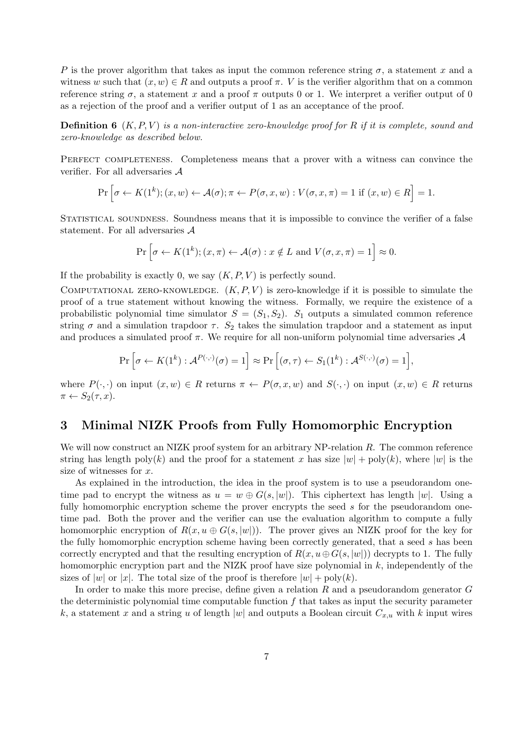P is the prover algorithm that takes as input the common reference string  $\sigma$ , a statement x and a witness w such that  $(x, w) \in R$  and outputs a proof  $\pi$ . V is the verifier algorithm that on a common reference string  $\sigma$ , a statement x and a proof  $\pi$  outputs 0 or 1. We interpret a verifier output of 0 as a rejection of the proof and a verifier output of 1 as an acceptance of the proof.

**Definition 6**  $(K, P, V)$  is a non-interactive zero-knowledge proof for R if it is complete, sound and zero-knowledge as described below.

PERFECT COMPLETENESS. Completeness means that a prover with a witness can convince the verifier. For all adversaries  ${\mathcal A}$ 

$$
\Pr\left[\sigma \leftarrow K(1^k); (x, w) \leftarrow \mathcal{A}(\sigma); \pi \leftarrow P(\sigma, x, w) : V(\sigma, x, \pi) = 1 \text{ if } (x, w) \in R\right] = 1.
$$

Statistical soundness. Soundness means that it is impossible to convince the verifier of a false statement. For all adversaries A

$$
\Pr\left[\sigma \leftarrow K(1^k); (x,\pi) \leftarrow \mathcal{A}(\sigma): x \notin L \text{ and } V(\sigma, x, \pi) = 1\right] \approx 0.
$$

If the probability is exactly 0, we say  $(K, P, V)$  is perfectly sound.

COMPUTATIONAL ZERO-KNOWLEDGE.  $(K, P, V)$  is zero-knowledge if it is possible to simulate the proof of a true statement without knowing the witness. Formally, we require the existence of a probabilistic polynomial time simulator  $S = (S_1, S_2)$ .  $S_1$  outputs a simulated common reference string  $\sigma$  and a simulation trapdoor  $\tau$ .  $S_2$  takes the simulation trapdoor and a statement as input and produces a simulated proof  $\pi$ . We require for all non-uniform polynomial time adversaries  $\mathcal A$ 

$$
\Pr\left[\sigma \leftarrow K(1^k) : \mathcal{A}^{P(\cdot,\cdot)}(\sigma) = 1\right] \approx \Pr\left[(\sigma,\tau) \leftarrow S_1(1^k) : \mathcal{A}^{S(\cdot,\cdot)}(\sigma) = 1\right],
$$

where  $P(\cdot, \cdot)$  on input  $(x, w) \in R$  returns  $\pi \leftarrow P(\sigma, x, w)$  and  $S(\cdot, \cdot)$  on input  $(x, w) \in R$  returns  $\pi \leftarrow S_2(\tau, x).$ 

### 3 Minimal NIZK Proofs from Fully Homomorphic Encryption

We will now construct an NIZK proof system for an arbitrary  $NP$ -relation R. The common reference string has length poly $(k)$  and the proof for a statement x has size  $|w| + \text{poly}(k)$ , where  $|w|$  is the size of witnesses for  $x$ .

As explained in the introduction, the idea in the proof system is to use a pseudorandom onetime pad to encrypt the witness as  $u = w \oplus G(s, |w|)$ . This ciphertext has length |w|. Using a fully homomorphic encryption scheme the prover encrypts the seed s for the pseudorandom onetime pad. Both the prover and the verifier can use the evaluation algorithm to compute a fully homomorphic encryption of  $R(x, u \oplus G(s, |w|))$ . The prover gives an NIZK proof for the key for the fully homomorphic encryption scheme having been correctly generated, that a seed s has been correctly encrypted and that the resulting encryption of  $R(x, u \oplus G(s, |w|))$  decrypts to 1. The fully homomorphic encryption part and the NIZK proof have size polynomial in  $k$ , independently of the sizes of |w| or |x|. The total size of the proof is therefore  $|w| + \text{poly}(k)$ .

In order to make this more precise, define given a relation R and a pseudorandom generator G the deterministic polynomial time computable function  $f$  that takes as input the security parameter k, a statement x and a string u of length |w| and outputs a Boolean circuit  $C_{x,u}$  with k input wires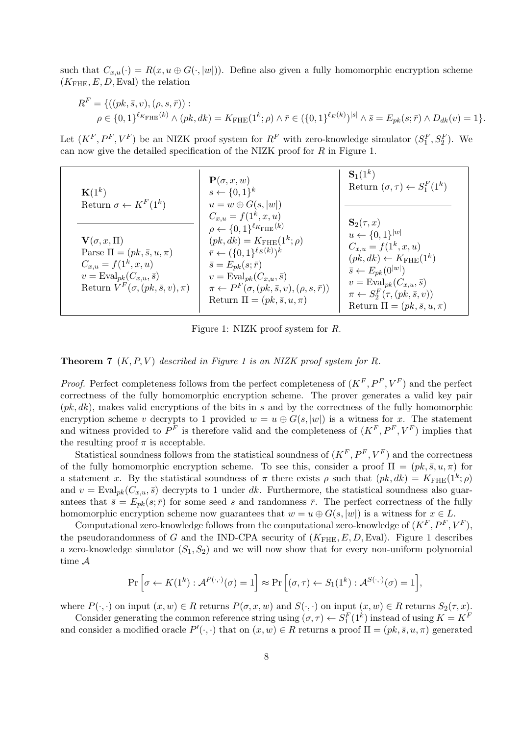such that  $C_{x,u}(\cdot) = R(x, u \oplus G(\cdot, |w|))$ . Define also given a fully homomorphic encryption scheme  $(K_{\text{FHE}}, E, D, \text{Eval})$  the relation

$$
R^{F} = \{ ((pk, \bar{s}, v), (\rho, s, \bar{r})) : \\ \rho \in \{0, 1\}^{\ell_{K_{\text{FHE}}}(k)} \wedge (pk, dk) = K_{\text{FHE}}(1^{k}; \rho) \wedge \bar{r} \in (\{0, 1\}^{\ell_{E}(k)})^{|s|} \wedge \bar{s} = E_{pk}(s; \bar{r}) \wedge D_{dk}(v) = 1 \}.
$$

Let  $(K^F, P^F, V^F)$  be an NIZK proof system for  $R^F$  with zero-knowledge simulator  $(S_1^F, S_2^F)$ . We can now give the detailed specification of the NIZK proof for  $R$  in Figure 1.

| ${\bf K}(1^k)$                              | $\mathbf{P}(\sigma, x, w)$<br>$s \leftarrow \{0,1\}^k$                           | ${\bf S}_1(1^k)$<br>Return $(\sigma, \tau) \leftarrow S_1^F(1^k)$ |
|---------------------------------------------|----------------------------------------------------------------------------------|-------------------------------------------------------------------|
| Return $\sigma \leftarrow K^F(1^k)$         | $u = w \oplus G(s,  w )$                                                         |                                                                   |
|                                             | $C_{x,u} = f(1^k, x, u)$<br>$\rho \leftarrow \{0,1\}^{\ell_{K_{\text{FHE}}}(k)}$ | $\mathbf{S}_2(\tau,x)$<br>$u \leftarrow \{0, 1\}^{ w }$           |
| $\mathbf{V}(\sigma, x, \Pi)$                | $(pk, dk) = K_{\text{FHE}}(1^k; \rho)$                                           | $C_{x,u} = f(1^k, x, u)$                                          |
| Parse $\Pi = (pk, \bar{s}, u, \pi)$         | $\bar{r} \leftarrow (\{0,1\}^{\ell_E(k)})^k$                                     | $(pk, dk) \leftarrow K_{\text{FHE}}(1^k)$                         |
| $C_{x,u} = f(1^k, x, u)$                    | $\bar{s} = E_{pk}(s; \bar{r})$                                                   | $\bar{s} \leftarrow E_{pk}(0^{ w })$                              |
| $v = \text{Eval}_{pk}(C_{x,u}, \bar{s})$    | $v = \text{Eval}_{pk}(C_{x,u}, \bar{s})$                                         | $v = \text{Eval}_{pk}(C_{x,u}, \bar{s})$                          |
| Return $V^F(\sigma, (pk, \bar{s}, v), \pi)$ | $\pi \leftarrow P^F(\sigma, (pk, \bar{s}, v), (\rho, s, \bar{r}))$               | $\pi \leftarrow S_2^F(\tau, (pk, \bar{s}, v))$                    |
|                                             | Return $\Pi = (pk, \bar{s}, u, \pi)$                                             | Return $\Pi = (pk, \bar{s}, u, \pi)$                              |

Figure 1: NIZK proof system for R.

**Theorem 7**  $(K, P, V)$  described in Figure 1 is an NIZK proof system for R.

*Proof.* Perfect completeness follows from the perfect completeness of  $(K^F, P^F, V^F)$  and the perfect correctness of the fully homomorphic encryption scheme. The prover generates a valid key pair  $(pk, dk)$ , makes valid encryptions of the bits in s and by the correctness of the fully homomorphic encryption scheme v decrypts to 1 provided  $w = u \oplus G(s, |w|)$  is a witness for x. The statement and witness provided to  $P^F$  is therefore valid and the completeness of  $(K^F, P^F, V^F)$  implies that the resulting proof  $\pi$  is acceptable.

Statistical soundness follows from the statistical soundness of  $(K^F, P^F, V^F)$  and the correctness of the fully homomorphic encryption scheme. To see this, consider a proof  $\Pi = (pk, \bar{s}, u, \pi)$  for a statement x. By the statistical soundness of  $\pi$  there exists  $\rho$  such that  $(pk, dk) = K_{\text{FHE}}(1^k; \rho)$ and  $v = \text{Eval}_{pk}(C_{x,u}, \bar{s})$  decrypts to 1 under dk. Furthermore, the statistical soundness also guarantees that  $\bar{s} = E_{pk}(s; \bar{r})$  for some seed s and randomness  $\bar{r}$ . The perfect correctness of the fully homomorphic encryption scheme now guarantees that  $w = u \oplus G(s, |w|)$  is a witness for  $x \in L$ .

Computational zero-knowledge follows from the computational zero-knowledge of  $(K^F, P^F, V^F)$ , the pseudorandomness of G and the IND-CPA security of  $(K_{\text{FHE}}, E, D, \text{Eval})$ . Figure 1 describes a zero-knowledge simulator  $(S_1, S_2)$  and we will now show that for every non-uniform polynomial time A

$$
\Pr\left[\sigma \leftarrow K(1^k) : \mathcal{A}^{P(\cdot,\cdot)}(\sigma) = 1\right] \approx \Pr\left[(\sigma,\tau) \leftarrow S_1(1^k) : \mathcal{A}^{S(\cdot,\cdot)}(\sigma) = 1\right],
$$

where  $P(\cdot, \cdot)$  on input  $(x, w) \in R$  returns  $P(\sigma, x, w)$  and  $S(\cdot, \cdot)$  on input  $(x, w) \in R$  returns  $S_2(\tau, x)$ .

Consider generating the common reference string using  $(\sigma, \tau) \leftarrow S_1^F(1^k)$  instead of using  $K = K^F$ and consider a modified oracle  $P'(\cdot, \cdot)$  that on  $(x, w) \in R$  returns a proof  $\Pi = (pk, \bar{s}, u, \pi)$  generated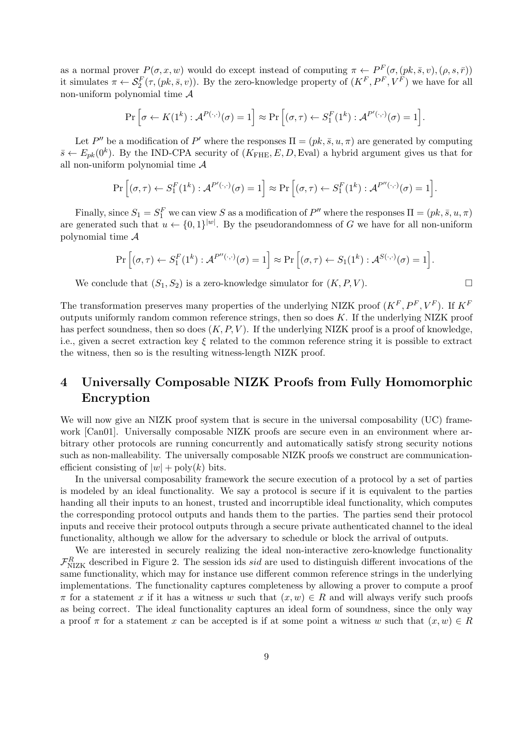as a normal prover  $P(\sigma, x, w)$  would do except instead of computing  $\pi \leftarrow P^F(\sigma, (pk, \bar{s}, v), (\rho, s, \bar{r}))$ it simulates  $\pi \leftarrow S_2^F(\tau, (pk, \bar{s}, v))$ . By the zero-knowledge property of  $(K^F, P^F, V^F)$  we have for all non-uniform polynomial time A

$$
\Pr\left[\sigma \leftarrow K(1^k) : \mathcal{A}^{P(\cdot,\cdot)}(\sigma) = 1\right] \approx \Pr\left[(\sigma,\tau) \leftarrow S_1^F(1^k) : \mathcal{A}^{P'(\cdot,\cdot)}(\sigma) = 1\right].
$$

Let P'' be a modification of P' where the responses  $\Pi = (pk, \bar{s}, u, \pi)$  are generated by computing  $\bar{s} \leftarrow E_{pk}(0^k)$ . By the IND-CPA security of  $(K_{\text{FHE}}, E, D, \text{Eval})$  a hybrid argument gives us that for all non-uniform polynomial time  $A$ 

$$
\Pr\left[(\sigma,\tau) \leftarrow S_1^F(1^k) : \mathcal{A}^{P'(\cdot,\cdot)}(\sigma) = 1\right] \approx \Pr\left[(\sigma,\tau) \leftarrow S_1^F(1^k) : \mathcal{A}^{P''(\cdot,\cdot)}(\sigma) = 1\right].
$$

Finally, since  $S_1 = S_1^F$  we can view S as a modification of  $P''$  where the responses  $\Pi = (pk, \bar{s}, u, \pi)$ are generated such that  $u \leftarrow \{0,1\}^{|w|}$ . By the pseudorandomness of G we have for all non-uniform polynomial time  $A$ 

$$
\Pr\Big[(\sigma,\tau) \leftarrow S_1^F(1^k) : \mathcal{A}^{P''(\cdot,\cdot)}(\sigma) = 1\Big] \approx \Pr\Big[(\sigma,\tau) \leftarrow S_1(1^k) : \mathcal{A}^{S(\cdot,\cdot)}(\sigma) = 1\Big].
$$

We conclude that  $(S_1, S_2)$  is a zero-knowledge simulator for  $(K, P, V)$ .

The transformation preserves many properties of the underlying NIZK proof  $(K^F, P^F, V^F)$ . If  $K^F$ outputs uniformly random common reference strings, then so does  $K$ . If the underlying NIZK proof has perfect soundness, then so does  $(K, P, V)$ . If the underlying NIZK proof is a proof of knowledge. i.e., given a secret extraction key  $\xi$  related to the common reference string it is possible to extract the witness, then so is the resulting witness-length NIZK proof.

# 4 Universally Composable NIZK Proofs from Fully Homomorphic Encryption

We will now give an NIZK proof system that is secure in the universal composability (UC) framework [Can01]. Universally composable NIZK proofs are secure even in an environment where arbitrary other protocols are running concurrently and automatically satisfy strong security notions such as non-malleability. The universally composable NIZK proofs we construct are communicationefficient consisting of  $|w|$  + poly(k) bits.

In the universal composability framework the secure execution of a protocol by a set of parties is modeled by an ideal functionality. We say a protocol is secure if it is equivalent to the parties handing all their inputs to an honest, trusted and incorruptible ideal functionality, which computes the corresponding protocol outputs and hands them to the parties. The parties send their protocol inputs and receive their protocol outputs through a secure private authenticated channel to the ideal functionality, although we allow for the adversary to schedule or block the arrival of outputs.

We are interested in securely realizing the ideal non-interactive zero-knowledge functionality  $\mathcal{F}_{\rm NIZK}^R$  described in Figure 2. The session ids *sid* are used to distinguish different invocations of the same functionality, which may for instance use different common reference strings in the underlying implementations. The functionality captures completeness by allowing a prover to compute a proof  $\pi$  for a statement x if it has a witness w such that  $(x, w) \in R$  and will always verify such proofs as being correct. The ideal functionality captures an ideal form of soundness, since the only way a proof  $\pi$  for a statement x can be accepted is if at some point a witness w such that  $(x, w) \in R$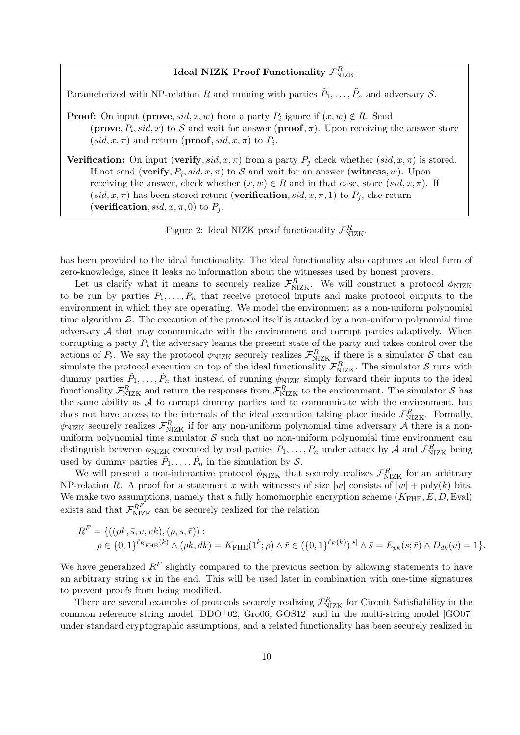## Ideal NIZK Proof Functionality  $\mathcal{F}^R_{\rm NIZK}$

Parameterized with NP-relation R and running with parties  $\tilde{P}_1, \ldots, \tilde{P}_n$  and adversary S.

**Proof:** On input (**prove**,  $sid, x, w$ ) from a party  $P_i$  ignore if  $(x, w) \notin R$ . Send (**prove**,  $P_i$ , sid, x) to S and wait for answer (**proof**,  $\pi$ ). Upon receiving the answer store  $(sid, x, \pi)$  and return (**proof**, sid, x,  $\pi$ ) to  $P_i$ .

**Verification:** On input (verify, sid, x,  $\pi$ ) from a party  $P_i$  check whether (sid, x,  $\pi$ ) is stored. If not send (verify,  $P_i$ , sid,  $x, \pi$ ) to S and wait for an answer (witness, w). Upon receiving the answer, check whether  $(x, w) \in R$  and in that case, store  $(sid, x, \pi)$ . If  $(sid, x, \pi)$  has been stored return (verification,  $sid, x, \pi, 1)$  to  $P_i$ , else return (verification,  $sid, x, \pi, 0)$  to  $P_i$ .

Figure 2: Ideal NIZK proof functionality  $\mathcal{F}_{\text{NIZK}}^R$ .

has been provided to the ideal functionality. The ideal functionality also captures an ideal form of zero-knowledge, since it leaks no information about the witnesses used by honest provers.

Let us clarify what it means to securely realize  $\mathcal{F}_{NIZK}^R$ . We will construct a protocol  $\phi_{NIZK}$ to be run by parties  $P_1, \ldots, P_n$  that receive protocol inputs and make protocol outputs to the environment in which they are operating. We model the environment as a non-uniform polynomial time algorithm  $Z$ . The execution of the protocol itself is attacked by a non-uniform polynomial time adversary  $A$  that may communicate with the environment and corrupt parties adaptively. When corrupting a party  $P_i$  the adversary learns the present state of the party and takes control over the actions of  $P_i$ . We say the protocol  $\phi_{\text{NIZK}}$  securely realizes  $\mathcal{F}_{\text{NIZK}}^R$  if there is a simulator S that can simulate the protocol execution on top of the ideal functionality  $\mathcal{F}_{NIZK}^R$ . The simulator S runs with dummy parties  $\tilde{P}_1, \ldots, \tilde{P}_n$  that instead of running  $\phi_{\text{NIZK}}$  simply forward their inputs to the ideal functionality  $\mathcal{F}_{\text{NIZK}}^R$  and return the responses from  $\mathcal{F}_{\text{NIZK}}^R$  to the environment. The simulator  $S$  has the same ability as  $A$  to corrupt dummy parties and to communicate with the environment, but does not have access to the internals of the ideal execution taking place inside  $\mathcal{F}_{\text{NIZK}}^R$ . Formally,  $\phi_{\text{NIZK}}$  securely realizes  $\mathcal{F}_{\text{NIZK}}^R$  if for any non-uniform polynomial time adversary A there is a nonuniform polynomial time simulator  $S$  such that no non-uniform polynomial time environment can distinguish between  $\phi_{\text{NIZK}}$  executed by real parties  $P_1, \ldots, P_n$  under attack by A and  $\mathcal{F}_{\text{NIZK}}^R$  being used by dummy parties  $\tilde{P}_1, \ldots, \tilde{P}_n$  in the simulation by S.

We will present a non-interactive protocol  $\phi_{\text{NIZK}}$  that securely realizes  $\mathcal{F}_{\text{NIZK}}^R$  for an arbitrary NP-relation R. A proof for a statement x with witnesses of size  $|w|$  consists of  $|w|$  + poly(k) bits. We make two assumptions, namely that a fully homomorphic encryption scheme  $(K_{\text{FHE}}, E, D, \text{Eval})$ exists and that  $\mathcal{F}_{\text{NIZK}}^{R^F}$  can be securely realized for the relation

$$
R^{F} = \{ ((pk, \bar{s}, v, vk), (\rho, s, \bar{r})) : \\ \rho \in \{0, 1\}^{\ell_{K_{\text{FHE}}}(k)} \wedge (pk, dk) = K_{\text{FHE}}(1^{k}; \rho) \wedge \bar{r} \in (\{0, 1\}^{\ell_{E}(k)})^{|s|} \wedge \bar{s} = E_{pk}(s; \bar{r}) \wedge D_{dk}(v) = 1 \}.
$$

We have generalized  $R^F$  slightly compared to the previous section by allowing statements to have an arbitrary string  $vk$  in the end. This will be used later in combination with one-time signatures to prevent proofs from being modified.

There are several examples of protocols securely realizing  $\mathcal{F}_{\rm NIZK}^R$  for Circuit Satisfiability in the common reference string model  $[DDO<sup>+</sup>02, Gro06, GOS12]$  and in the multi-string model  $[GO07]$ under standard cryptographic assumptions, and a related functionality has been securely realized in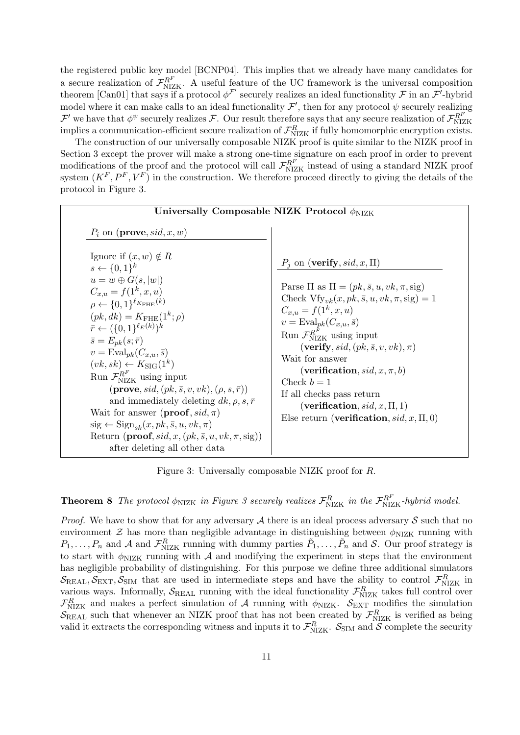the registered public key model [BCNP04]. This implies that we already have many candidates for a secure realization of  $\mathcal{F}_{NIZK}^{R^F}$ . A useful feature of the UC framework is the universal composition theorem [Can01] that says if a protocol  $\phi^{\mathcal{F}'}$  securely realizes an ideal functionality  $\mathcal F$  in an  $\mathcal F'$ -hybrid model where it can make calls to an ideal functionality  $\mathcal{F}',$  then for any protocol  $\psi$  securely realizing  $\mathcal{F}'$  we have that  $\phi^{\psi}$  securely realizes  $\mathcal{F}$ . Our result therefore says that any secure realization of  $\mathcal{F}_{\text{NIZK}}^{R}$  if fully homomorphic encryption exists.

The construction of our universally composable NIZK proof is quite similar to the NIZK proof in Section 3 except the prover will make a strong one-time signature on each proof in order to prevent modifications of the proof and the protocol will call  $\mathcal{F}_{NIZK}^{R^F}$  instead of using a standard NIZK proof system  $(K^F, P^F, V^F)$  in the construction. We therefore proceed directly to giving the details of the protocol in Figure 3.

| Universally Composable NIZK Protocol $\phi_{\text{NIZK}}$                                                                                                                                                                                                                                                                                                                                                                                                                                                                                                                                                                                                                                                                                                                                                           |                                                                                                                                                                                                                                                                                                                                                                                                                                                                                                                                              |  |  |  |
|---------------------------------------------------------------------------------------------------------------------------------------------------------------------------------------------------------------------------------------------------------------------------------------------------------------------------------------------------------------------------------------------------------------------------------------------------------------------------------------------------------------------------------------------------------------------------------------------------------------------------------------------------------------------------------------------------------------------------------------------------------------------------------------------------------------------|----------------------------------------------------------------------------------------------------------------------------------------------------------------------------------------------------------------------------------------------------------------------------------------------------------------------------------------------------------------------------------------------------------------------------------------------------------------------------------------------------------------------------------------------|--|--|--|
| $P_i$ on ( <b>prove</b> , sid, x, w)<br>Ignore if $(x, w) \notin R$<br>$s \leftarrow \{0,1\}^k$<br>$u=w\oplus G(s, w )$<br>$C_{x,u} = f(1^k, x, u)$<br>$\rho \leftarrow \{0,1\}^{\ell_{K_{\text{FHE}}}(k)}$<br>$(pk, dk) = K_{\text{FHE}}(1^k; \rho)$<br>$\bar{r} \leftarrow (\{0,1\}^{\ell_E(k)})^k$<br>$\bar{s} = E_{nk}(s; \bar{r})$<br>$v = \text{Eval}_{pk}(C_{x,u}, \bar{s})$<br>$(vk, sk) \leftarrow K_{\text{SIG}}(1^k)$<br>Run $\mathcal{F}^{R^F}_{\rm NIZK}$ using input<br>$(\mathbf{prove}, sid, (pk, \bar{s}, v, vk), (\rho, s, \bar{r}))$<br>and immediately deleting $dk, \rho, s, \bar{r}$<br>Wait for answer ( <b>proof</b> , $sid, \pi$ )<br>$sig \leftarrow Sign_{sk}(x, pk, \bar{s}, u, vk, \pi)$<br>Return (proof, sid, x, $(pk, \bar{s}, u, vk, \pi, sig)$ )<br>after deleting all other data | $P_i$ on ( <b>verify</b> , sid, x, $\Pi$ )<br>Parse $\Pi$ as $\Pi = (pk, \bar{s}, u, vk, \pi, sig)$<br>Check $Vf_{y,k}(x, pk, \bar{s}, u, vk, \pi, sig) = 1$<br>$C_{x,u} = f(1^k, x, u)$<br>$v = \text{Eval}_{pk}(C_{x,u}, \bar{s})$<br>Run $\mathcal{F}_{NIZK}^{R^F}$ using input<br>$(\textbf{verify}, sid, (pk, \bar{s}, v, vk), \pi)$<br>Wait for answer<br>(verification, sid, x, $\pi$ , b)<br>Check $b=1$<br>If all checks pass return<br>(verification, sid, x, $\Pi$ , 1)<br>Else return ( <b>verification</b> , $sid, x, \Pi, 0$ ) |  |  |  |

Figure 3: Universally composable NIZK proof for R.

**Theorem 8** The protocol  $\phi_{NIZK}$  in Figure 3 securely realizes  $\mathcal{F}_{NIZK}^R$  in the  $\mathcal{F}_{NIZK}^{R^F}$ -hybrid model.

*Proof.* We have to show that for any adversary  $A$  there is an ideal process adversary  $S$  such that no environment  $\mathcal Z$  has more than negligible advantage in distinguishing between  $\phi_{\text{NIZK}}$  running with  $P_1,\ldots,P_n$  and A and  $\mathcal{F}_{\text{NIZK}}^R$  running with dummy parties  $\tilde{P}_1,\ldots,\tilde{P}_n$  and S. Our proof strategy is to start with  $\phi_{\text{NIZK}}$  running with A and modifying the experiment in steps that the environment has negligible probability of distinguishing. For this purpose we define three additional simulators  $\mathcal{S}_{\text{REAL}}, \mathcal{S}_{\text{EXT}}, \mathcal{S}_{\text{SIM}}$  that are used in intermediate steps and have the ability to control  $\mathcal{F}_{\text{NIZK}}^R$  in various ways. Informally,  $S_{\text{REAL}}$  running with the ideal functionality  $\mathcal{F}_{\text{NIZK}}^R$  takes full control over  $\mathcal{F}_{\text{NIZK}}^R$  and makes a perfect simulation of A running with  $\phi_{\text{NIZK}}$ .  $\mathcal{S}_{\text{EXT}}$  modifies the simulation  $\mathcal{S}_{\text{REAL}}$  such that whenever an NIZK proof that has not been created by  $\mathcal{F}_{\text{NIZK}}^R$  is verified as being valid it extracts the corresponding witness and inputs it to  $\mathcal{F}_{NIZK}^R$ .  $\mathcal{S}_{SIM}$  and  $\mathcal{S}$  complete the security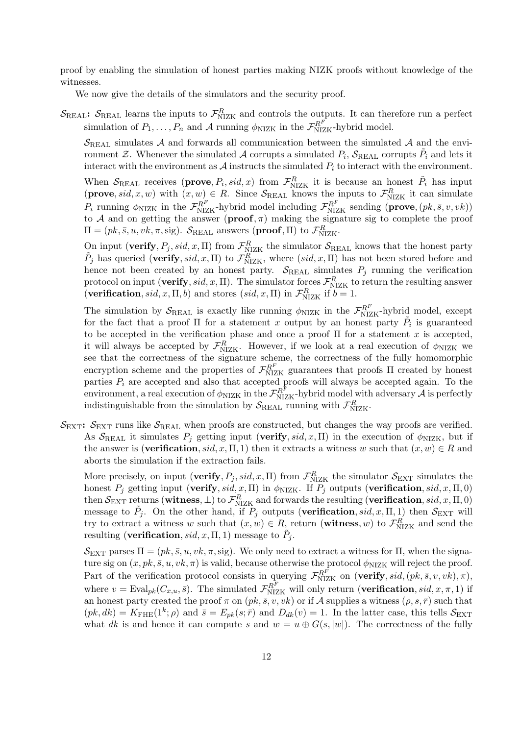proof by enabling the simulation of honest parties making NIZK proofs without knowledge of the witnesses.

We now give the details of the simulators and the security proof.

 $\mathcal{S}_{\text{REAL}}$ :  $\mathcal{S}_{\text{REAL}}$  learns the inputs to  $\mathcal{F}_{\text{NIZK}}^R$  and controls the outputs. It can therefore run a perfect simulation of  $P_1, \ldots, P_n$  and A running  $\phi_{NIZK}$  in the  $\mathcal{F}_{NIZK}^{R^F}$ -hybrid model.

 $\mathcal{S}_{\text{REAL}}$  simulates A and forwards all communication between the simulated A and the environment  $\mathcal{Z}$ . Whenever the simulated  $\mathcal{A}$  corrupts a simulated  $P_i$ ,  $\mathcal{S}_{\mathrm{REAL}}$  corrupts  $\tilde{P}_i$  and lets it interact with the environment as  $A$  instructs the simulated  $P_i$  to interact with the environment.

When  $S_{\text{REAL}}$  receives (**prove**,  $P_i$ , sid, x) from  $\mathcal{F}_{\text{NIZK}}^R$  it is because an honest  $\tilde{P}_i$  has input (**prove**, sid, x, w) with  $(x, w) \in R$ . Since  $S_{\text{REAL}}$  knows the inputs to  $\mathcal{F}_{\text{NIZK}}^R$  it can simulate  $P_i$  running  $\phi_{NIZK}$  in the  $\mathcal{F}_{NIZK}^{R^F}$ -hybrid model including  $\mathcal{F}_{NIZK}^{R^F}$  sending (**prove**,  $(pk, \bar{s}, v, vk)$ ) to A and on getting the answer  $(\textbf{proof}, \pi)$  making the signature sig to complete the proof  $\Pi = (pk, \bar{s}, u, vk, \pi, sig)$ .  $\mathcal{S}_{\text{REAL}}$  answers (**proof**,  $\Pi$ ) to  $\mathcal{F}_{\text{NIZK}}^R$ .

On input (verify,  $P_j$ , sid, x, II) from  $\mathcal{F}_{\text{NIZK}}^R$  the simulator  $\mathcal{S}_{\text{REAL}}$  knows that the honest party  $\tilde{P}_j$  has queried (verify, sid, x, II) to  $\tilde{\mathcal{F}}_{NIZK}^R$ , where  $(sid, x, \Pi)$  has not been stored before and hence not been created by an honest party.  $S_{\text{REAL}}$  simulates  $P_i$  running the verification protocol on input (verify, sid, x,  $\Pi$ ). The simulator forces  $\mathcal{F}_{NIZK}^R$  to return the resulting answer (verification, sid, x,  $\Pi$ , b) and stores (sid, x,  $\Pi$ ) in  $\mathcal{F}_{NIZK}^R$  if  $b = 1$ .

The simulation by  $S_{\text{REAL}}$  is exactly like running  $\phi_{\text{NIZK}}$  in the  $\mathcal{F}_{\text{NIZK}}^{R^F}$ -hybrid model, except for the fact that a proof  $\Pi$  for a statement x output by an honest party  $\tilde{P}_i$  is guaranteed to be accepted in the verification phase and once a proof  $\Pi$  for a statement x is accepted, it will always be accepted by  $\mathcal{F}_{NIZK}^R$ . However, if we look at a real execution of  $\phi_{NIZK}$  we see that the correctness of the signature scheme, the correctness of the fully homomorphic encryption scheme and the properties of  $\mathcal{F}_{NIZK}^{R^F}$  guarantees that proofs  $\Pi$  created by honest parties  $P_i$  are accepted and also that accepted proofs will always be accepted again. To the environment, a real execution of  $\phi_{NIZK}$  in the  $\mathcal{F}_{NIZK}^{R^F}$ -hybrid model with adversary  $\mathcal A$  is perfectly indistinguishable from the simulation by  $\mathcal{S}_{\text{REAL}}$  running with  $\mathcal{F}_{\text{NIZK}}^R$ .

 $\mathcal{S}_{\text{EXT}}$ :  $\mathcal{S}_{\text{EXT}}$  runs like  $\mathcal{S}_{\text{REAL}}$  when proofs are constructed, but changes the way proofs are verified. As  $S_{\text{REAL}}$  it simulates  $P_i$  getting input (verify, sid, x, II) in the execution of  $\phi_{\text{NIZK}}$ , but if the answer is (**verification**,  $sid, x, \Pi, 1$ ) then it extracts a witness w such that  $(x, w) \in R$  and aborts the simulation if the extraction fails.

More precisely, on input (verify,  $P_j$ , sid, x, II) from  $\mathcal{F}_{NIZK}^R$  the simulator  $\mathcal{S}_{\text{EXT}}$  simulates the honest  $P_j$  getting input (verify, sid, x, Π) in  $\phi_{\text{NIZK}}$ . If  $P_j$  outputs (verification, sid, x, Π, 0)  $\text{then } \mathcal{S}_{\text{EXT}}\text{ returns }(\textbf{witness},\bot) \text{ to } \mathcal{F}^R_{\text{NIZK}}\text{ and forwards the resulting }(\textbf{verification}, sid,x,\Pi,0)$ message to  $\tilde{P}_j$ . On the other hand, if  $P_j$  outputs (**verification**, sid, x,  $\Pi$ , 1) then  $S_{\text{EXT}}$  will try to extract a witness w such that  $(x, w) \in R$ , return (witness, w) to  $\mathcal{F}_{\text{NIZK}}^R$  and send the resulting (**verification**,  $sid, x, \Pi, 1)$  message to  $\tilde{P}_j$ .

 $\mathcal{S}_{\text{EXT}}$  parses  $\Pi = (pk, \bar{s}, u, vk, \pi, \text{sig})$ . We only need to extract a witness for  $\Pi$ , when the signature sig on  $(x, pk, \overline{s}, u, vk, \pi)$  is valid, because otherwise the protocol  $\phi_{\text{NIZK}}$  will reject the proof. Part of the verification protocol consists in querying  $\mathcal{F}_{NIZK}^{R^F}$  on (verify, sid,  $(pk, \bar{s}, v, vk), \pi$ ), where  $v = \text{Eval}_{pk}(C_{x,u}, \bar{s})$ . The simulated  $\mathcal{F}_{NIZK}^{R^F}$  will only return (**verification**,  $sid, x, \pi, 1$ ) if an honest party created the proof  $\pi$  on  $(pk, \bar{s}, v, vk)$  or if A supplies a witness  $(\rho, s, \bar{r})$  such that  $(pk, dk) = K_{\text{FHE}}(1^k; \rho)$  and  $\bar{s} = E_{pk}(s; \bar{r})$  and  $D_{dk}(v) = 1$ . In the latter case, this tells  $S_{\text{EXT}}$ what dk is and hence it can compute s and  $w = u \oplus G(s, |w|)$ . The correctness of the fully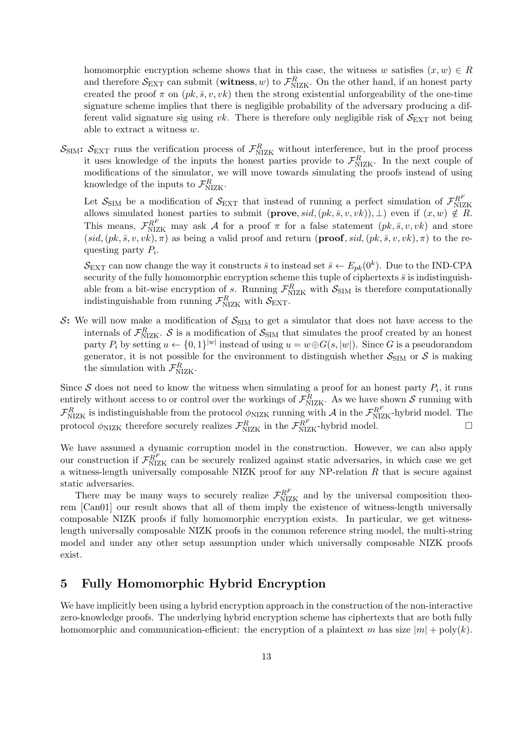homomorphic encryption scheme shows that in this case, the witness w satisfies  $(x, w) \in R$ and therefore  $S_{\text{EXT}}$  can submit (witness, w) to  $\mathcal{F}_{\text{NIZK}}^R$ . On the other hand, if an honest party created the proof  $\pi$  on  $(pk, \bar{s}, v, vk)$  then the strong existential unforgeability of the one-time signature scheme implies that there is negligible probability of the adversary producing a different valid signature sig using  $vk$ . There is therefore only negligible risk of  $S_{\text{EXT}}$  not being able to extract a witness w.

 $S_{\text{SIM}}$ :  $S_{\text{EXT}}$  runs the verification process of  $\mathcal{F}_{\text{NIZK}}^R$  without interference, but in the proof process it uses knowledge of the inputs the honest parties provide to  $\mathcal{F}_{NIZK}^R$ . In the next couple of modifications of the simulator, we will move towards simulating the proofs instead of using knowledge of the inputs to  $\mathcal{F}_{\text{NIZK}}^R$ .

Let  $S_{\text{SIM}}$  be a modification of  $S_{\text{EXT}}$  that instead of running a perfect simulation of  $\mathcal{F}_{\text{NIZK}}^{R^F}$ allows simulated honest parties to submit  $(\mathbf{prove}, sid, (pk, \bar{s}, v, vk)), \perp)$  even if  $(x, w) \notin R$ . This means,  $\mathcal{F}_{NIZK}^{RF}$  may ask A for a proof  $\pi$  for a false statement  $(pk, \bar{s}, v, vk)$  and store  $(sid,(pk,\bar{s}, v, vk),\pi)$  as being a valid proof and return (proof, sid,  $(pk,\bar{s}, v, vk),\pi)$  to the requesting party  $P_i$ .

 $\mathcal{S}_{\mathrm{EXT}}$  can now change the way it constructs  $\bar{s}$  to instead set  $\bar{s} \leftarrow E_{pk}(0^k)$ . Due to the IND-CPA security of the fully homomorphic encryption scheme this tuple of ciphertexts  $\bar{s}$  is indistinguishable from a bit-wise encryption of s. Running  $\mathcal{F}_{\text{NIZK}}^R$  with  $\mathcal{S}_{\text{SIM}}$  is therefore computationally indistinguishable from running  $\mathcal{F}_{\rm NIZK}^R$  with  $\mathcal{S}_{\rm EXT}$ .

S: We will now make a modification of  $S_{\text{SIM}}$  to get a simulator that does not have access to the internals of  $\mathcal{F}_{\text{NIZK}}^R$ . S is a modification of  $\mathcal{S}_{\text{SIM}}$  that simulates the proof created by an honest party  $P_i$  by setting  $u \leftarrow \{0,1\}^{|w|}$  instead of using  $u = w \oplus G(s, |w|)$ . Since G is a pseudorandom generator, it is not possible for the environment to distinguish whether  $S_{SIM}$  or S is making the simulation with  $\mathcal{F}_{\text{NIZK}}^R$ .

Since S does not need to know the witness when simulating a proof for an honest party  $P_i$ , it runs entirely without access to or control over the workings of  $\mathcal{F}_{\text{NIZK}}^R$ . As we have shown S running with  $\mathcal{F}_{\text{NIZK}}^R$  is indistinguishable from the protocol  $\phi_{\text{NIZK}}$  running with A in the  $\mathcal{F}_{\text{NIZK}}^{R^F}$ -hybrid model. The protocol  $\phi_{\text{NIZK}}$  therefore securely realizes  $\mathcal{F}_{\text{NIZK}}^R$  in the  $\mathcal{F}_{\text{NIZK}}^{R^F}$ -hybrid model.

We have assumed a dynamic corruption model in the construction. However, we can also apply our construction if  $\mathcal{F}_{\text{NIZK}}^{R^F}$  can be securely realized against static adversaries, in which case we get a witness-length universally composable NIZK proof for any NP-relation R that is secure against static adversaries.

There may be many ways to securely realize  $\mathcal{F}_{\text{NIZK}}^{R^F}$  and by the universal composition theorem [Can01] our result shows that all of them imply the existence of witness-length universally composable NIZK proofs if fully homomorphic encryption exists. In particular, we get witnesslength universally composable NIZK proofs in the common reference string model, the multi-string model and under any other setup assumption under which universally composable NIZK proofs exist.

### 5 Fully Homomorphic Hybrid Encryption

We have implicitly been using a hybrid encryption approach in the construction of the non-interactive zero-knowledge proofs. The underlying hybrid encryption scheme has ciphertexts that are both fully homomorphic and communication-efficient: the encryption of a plaintext m has size  $|m| + \text{poly}(k)$ .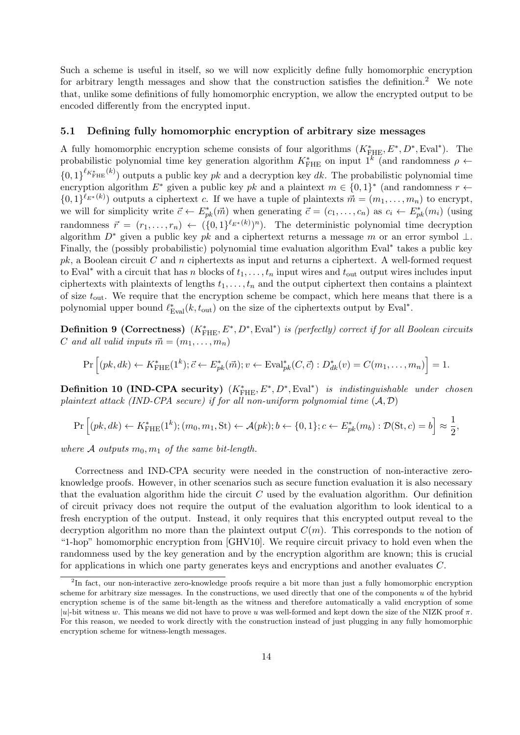Such a scheme is useful in itself, so we will now explicitly define fully homomorphic encryption for arbitrary length messages and show that the construction satisfies the definition.<sup>2</sup> We note that, unlike some definitions of fully homomorphic encryption, we allow the encrypted output to be encoded differently from the encrypted input.

#### 5.1 Defining fully homomorphic encryption of arbitrary size messages

A fully homomorphic encryption scheme consists of four algorithms  $(K^*_{\text{FHE}}, E^*, D^*, \text{Eval}^*)$ . The probabilistic polynomial time key generation algorithm  $K^*_{\text{FHE}}$  on input  $1^k$  (and randomness  $\rho \leftarrow$  ${0,1}^{\ell_{K_{\text{FHE}}^{*}(k)}$  outputs a public key pk and a decryption key dk. The probabilistic polynomial time encryption algorithm  $E^*$  given a public key pk and a plaintext  $m \in \{0,1\}^*$  (and randomness  $r \leftarrow$  $\{0,1\}^{\ell_{E^*}(k)}$  outputs a ciphertext c. If we have a tuple of plaintexts  $\vec{m} = (m_1,\ldots,m_n)$  to encrypt, we will for simplicity write  $\vec{c} \leftarrow E_{pk}^*(\vec{m})$  when generating  $\vec{c} = (c_1, \ldots, c_n)$  as  $c_i \leftarrow E_{pk}^*(m_i)$  (using randomness  $\vec{r} = (r_1, \ldots, r_n) \leftarrow (\{0, 1\}^{\ell_{E^*}(k)})^n$ . The deterministic polynomial time decryption algorithm  $D^*$  given a public key pk and a ciphertext returns a message m or an error symbol  $\perp$ . Finally, the (possibly probabilistic) polynomial time evaluation algorithm Eval<sup>∗</sup> takes a public key  $pk$ , a Boolean circuit C and n ciphertexts as input and returns a ciphertext. A well-formed request to Eval<sup>\*</sup> with a circuit that has n blocks of  $t_1, \ldots, t_n$  input wires and  $t_{\text{out}}$  output wires includes input ciphertexts with plaintexts of lengths  $t_1, \ldots, t_n$  and the output ciphertext then contains a plaintext of size  $t_{\text{out}}$ . We require that the encryption scheme be compact, which here means that there is a polynomial upper bound  $\ell_{Eval}^*(k, t_{out})$  on the size of the ciphertexts output by Eval<sup>\*</sup>.

**Definition 9 (Correctness)**  $(K_{\text{FHE}}^*, E^*, D^*, \text{Eval}^*)$  is (perfectly) correct if for all Boolean circuits C and all valid inputs  $\vec{m} = (m_1, \ldots, m_n)$ 

$$
\Pr\left[(pk,dk) \leftarrow K_{\text{FHE}}^*(1^k); \vec{c} \leftarrow E_{pk}^*(\vec{m}); v \leftarrow \text{Eval}_{pk}^*(C, \vec{c}) : D_{dk}^*(v) = C(m_1, \dots, m_n)\right] = 1.
$$

**Definition 10 (IND-CPA security)**  $(K^*_{\text{FHE}}, E^*, D^*, \text{Eval}^*)$  is indistinguishable under chosen plaintext attack (IND-CPA secure) if for all non-uniform polynomial time  $(A, D)$ 

$$
\Pr\left[(pk,dk) \leftarrow K^*_{\text{FHE}}(1^k); (m_0, m_1, \text{St}) \leftarrow \mathcal{A}(pk); b \leftarrow \{0, 1\}; c \leftarrow E^*_{pk}(m_b) : \mathcal{D}(\text{St}, c) = b\right] \approx \frac{1}{2},
$$

where A outputs  $m_0, m_1$  of the same bit-length.

Correctness and IND-CPA security were needed in the construction of non-interactive zeroknowledge proofs. However, in other scenarios such as secure function evaluation it is also necessary that the evaluation algorithm hide the circuit  $C$  used by the evaluation algorithm. Our definition of circuit privacy does not require the output of the evaluation algorithm to look identical to a fresh encryption of the output. Instead, it only requires that this encrypted output reveal to the decryption algorithm no more than the plaintext output  $C(m)$ . This corresponds to the notion of "1-hop" homomorphic encryption from [GHV10]. We require circuit privacy to hold even when the randomness used by the key generation and by the encryption algorithm are known; this is crucial for applications in which one party generates keys and encryptions and another evaluates C.

<sup>&</sup>lt;sup>2</sup>In fact, our non-interactive zero-knowledge proofs require a bit more than just a fully homomorphic encryption scheme for arbitrary size messages. In the constructions, we used directly that one of the components  $u$  of the hybrid encryption scheme is of the same bit-length as the witness and therefore automatically a valid encryption of some |u|-bit witness w. This means we did not have to prove u was well-formed and kept down the size of the NIZK proof  $\pi$ . For this reason, we needed to work directly with the construction instead of just plugging in any fully homomorphic encryption scheme for witness-length messages.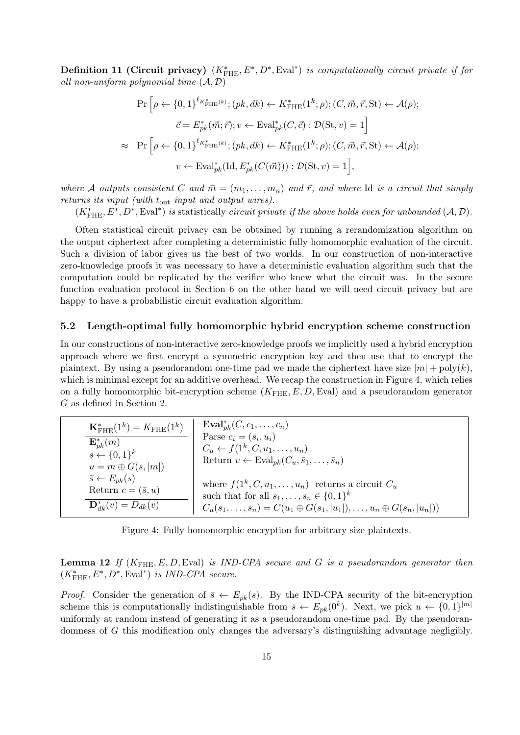Definition 11 (Circuit privacy)  $(K^*_{\text{FHE}}, E^*, D^*, \text{Eval}^*)$  is computationally circuit private if for all non-uniform polynomial time  $(A, D)$ 

$$
\Pr\left[\rho \leftarrow \{0,1\}^{\ell_{K_{\text{FHE}}^*(k)}}; (pk, dk) \leftarrow K_{\text{FHE}}^*(1^k; \rho); (C, \vec{m}, \vec{r}, \text{St}) \leftarrow \mathcal{A}(\rho);
$$
\n
$$
\vec{c} = E_{pk}^*(\vec{m}; \vec{r}); v \leftarrow \text{Eval}_{pk}^*(C, \vec{c}) : \mathcal{D}(\text{St}, v) = 1\right]
$$
\n
$$
\approx \Pr\left[\rho \leftarrow \{0,1\}^{\ell_{K_{\text{FHE}}^*(k)}}; (pk, dk) \leftarrow K_{\text{FHE}}^*(1^k; \rho); (C, \vec{m}, \vec{r}, \text{St}) \leftarrow \mathcal{A}(\rho);
$$
\n
$$
v \leftarrow \text{Eval}_{pk}^*(\text{Id}, E_{pk}^*(C(\vec{m}))) : \mathcal{D}(\text{St}, v) = 1\right],
$$

where A outputs consistent C and  $\vec{m} = (m_1, \ldots, m_n)$  and  $\vec{r}$ , and where Id is a circuit that simply returns its input (with tout input and output wires).

 $(K_{\text{FHE}}^*, E^*, D^*, \text{Eval}^*)$  is statistically *circuit private if the above holds even for unbounded*  $(A, \mathcal{D})$ .

Often statistical circuit privacy can be obtained by running a rerandomization algorithm on the output ciphertext after completing a deterministic fully homomorphic evaluation of the circuit. Such a division of labor gives us the best of two worlds. In our construction of non-interactive zero-knowledge proofs it was necessary to have a deterministic evaluation algorithm such that the computation could be replicated by the verifier who knew what the circuit was. In the secure function evaluation protocol in Section 6 on the other hand we will need circuit privacy but are happy to have a probabilistic circuit evaluation algorithm.

### 5.2 Length-optimal fully homomorphic hybrid encryption scheme construction

In our constructions of non-interactive zero-knowledge proofs we implicitly used a hybrid encryption approach where we first encrypt a symmetric encryption key and then use that to encrypt the plaintext. By using a pseudorandom one-time pad we made the ciphertext have size  $|m| + \text{poly}(k)$ , which is minimal except for an additive overhead. We recap the construction in Figure 4, which relies on a fully homomorphic bit-encryption scheme  $(K_{\text{FHE}}, E, D, \text{Eval})$  and a pseudorandom generator G as defined in Section 2.

| ${\bf K}_{\rm FHE}^*(1^k) = K_{\rm FHE}(1^k)$ | $\mathbf{Eval}_{pk}^{*}(C, c_1, \ldots, c_n)$                                     |
|-----------------------------------------------|-----------------------------------------------------------------------------------|
| $\mathbf{E}_{nk}^*(m)$                        | Parse $c_i = (\bar{s}_i, u_i)$                                                    |
| $s \leftarrow \{0,1\}^k$                      | $C_u \leftarrow f(1^k, C, u_1, \ldots, u_n)$                                      |
| $u = m \oplus G(s,  m )$                      | Return $v \leftarrow \text{Eval}_{pk}(C_u, \bar{s}_1, \ldots, \bar{s}_n)$         |
| $\bar{s} \leftarrow E_{nk}(s)$                | where $f(1^k, C, u_1, \ldots, u_n)$ returns a circuit $C_u$                       |
| Return $c = (\bar{s}, u)$                     | such that for all $s_1, \ldots, s_n \in \{0,1\}^k$                                |
| $\mathbf{D}_{dk}^*(v) = D_{dk}(v)$            | $C_u(s_1,\ldots,s_n) = C(u_1 \oplus G(s_1, u_1 ),\ldots,u_n \oplus G(s_n, u_n ))$ |

Figure 4: Fully homomorphic encryption for arbitrary size plaintexts.

**Lemma 12** If  $(K_{\text{FHE}}, E, D, \text{Eval})$  is IND-CPA secure and G is a pseudorandom generator then  $(K^*_{\text{FHE}}, E^*, D^*, \text{Eval}^*)$  is IND-CPA secure.

*Proof.* Consider the generation of  $\bar{s} \leftarrow E_{pk}(s)$ . By the IND-CPA security of the bit-encryption scheme this is computationally indistinguishable from  $\bar{s} \leftarrow E_{pk}(0^k)$ . Next, we pick  $u \leftarrow \{0,1\}^{|m|}$ uniformly at random instead of generating it as a pseudorandom one-time pad. By the pseudorandomness of G this modification only changes the adversary's distinguishing advantage negligibly.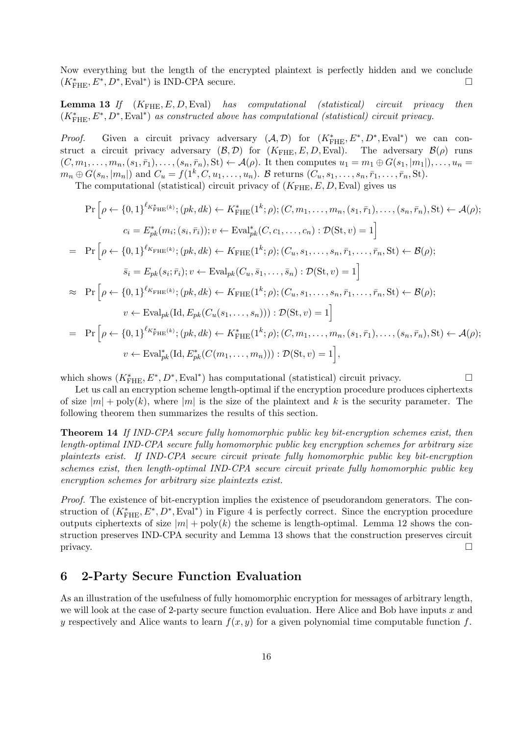Now everything but the length of the encrypted plaintext is perfectly hidden and we conclude  $(K_{\text{FHE}}^*, E^*, D^*, \text{Eval}^*)$  is IND-CPA secure.

**Lemma 13** If  $(K_{\text{FHE}}, E, D, \text{Eval})$  has computational (statistical) circuit privacy then  $(K_{\text{FHE}}^*, E^*, D^*, \text{Eval}^*)$  as constructed above has computational (statistical) circuit privacy.

*Proof.* Given a circuit privacy adversary  $(A, D)$  for  $(K^*_{\text{FHE}}, E^*, D^*, \text{Eval}^*)$  we can construct a circuit privacy adversary  $(B, \mathcal{D})$  for  $(K_{\text{FHE}}, E, D, \text{Eval})$ . The adversary  $\mathcal{B}(\rho)$  runs  $(C, m_1, \ldots, m_n, (s_1, \bar{r}_1), \ldots, (s_n, \bar{r}_n), \text{St}) \leftarrow \mathcal{A}(\rho)$ . It then computes  $u_1 = m_1 \oplus G(s_1, |m_1|), \ldots, u_n =$  $m_n \oplus G(s_n, |m_n|)$  and  $C_u = f(1^k, C, u_1, \ldots, u_n)$ . B returns  $(C_u, s_1, \ldots, s_n, \bar{r}_1, \ldots, \bar{r}_n, \text{St})$ .

The computational (statistical) circuit privacy of  $(K_{\text{FHE}}, E, D, \text{Eval})$  gives us

$$
\Pr\left[\rho \leftarrow \{0,1\}^{\ell_{K_{\text{FHE}}^{*}(k)}}; (pk,dk) \leftarrow K_{\text{FHE}}^{*}(1^{k};\rho); (C, m_{1}, \ldots, m_{n}, (s_{1}, \bar{r}_{1}), \ldots, (s_{n}, \bar{r}_{n}), \text{St}\right) \leftarrow \mathcal{A}(\rho);
$$
\n
$$
c_{i} = E_{pk}^{*}(m_{i}; (s_{i}, \bar{r}_{i})); v \leftarrow \text{Eval}_{pk}^{*}(C, c_{1}, \ldots, c_{n}): \mathcal{D}(\text{St}, v) = 1\right]
$$
\n
$$
= \Pr\left[\rho \leftarrow \{0,1\}^{\ell_{K_{\text{FHE}}^{*}(k)}}; (pk, dk) \leftarrow K_{\text{FHE}}(1^{k};\rho); (C_{u}, s_{1}, \ldots, s_{n}, \bar{r}_{1}, \ldots, \bar{r}_{n}, \text{St}\right) \leftarrow \mathcal{B}(\rho);
$$
\n
$$
\bar{s}_{i} = E_{pk}(s_{i}; \bar{r}_{i}); v \leftarrow \text{Eval}_{pk}(C_{u}, \bar{s}_{1}, \ldots, \bar{s}_{n}): \mathcal{D}(\text{St}, v) = 1\right]
$$
\n
$$
\approx \Pr\left[\rho \leftarrow \{0,1\}^{\ell_{K_{\text{FHE}}^{*}(k)}}; (pk, dk) \leftarrow K_{\text{FHE}}(1^{k};\rho); (C_{u}, s_{1}, \ldots, s_{n}, \bar{r}_{1}, \ldots, \bar{r}_{n}, \text{St}\right) \leftarrow \mathcal{B}(\rho);
$$
\n
$$
v \leftarrow \text{Eval}_{pk}(\text{Id}, E_{pk}(C_{u}(s_{1}, \ldots, s_{n}))) : \mathcal{D}(\text{St}, v) = 1\right]
$$
\n
$$
= \Pr\left[\rho \leftarrow \{0,1\}^{\ell_{K_{\text{FHE}}^{*}(k)}}; (pk, dk) \leftarrow K_{\text{FHE}}^{*}(1^{k};\rho); (C, m_{1}, \ldots, m_{n}, (s_{1}, \bar{r}_{1}), \ldots, (s_{n}, \bar{r}_{n}), \text{St}\right) \leftarrow \mathcal{A}(\rho);
$$
\n
$$
v \leftarrow \text{Eval}_{pk}(\text{Id}, E_{
$$

which shows  $(K_{\text{FHE}}^*, E^*, D^*, \text{Eval}^*)$  has computational (statistical) circuit privacy. □

Let us call an encryption scheme length-optimal if the encryption procedure produces ciphertexts of size  $|m| + \text{poly}(k)$ , where  $|m|$  is the size of the plaintext and k is the security parameter. The following theorem then summarizes the results of this section.

Theorem 14 If IND-CPA secure fully homomorphic public key bit-encryption schemes exist, then length-optimal IND-CPA secure fully homomorphic public key encryption schemes for arbitrary size plaintexts exist. If IND-CPA secure circuit private fully homomorphic public key bit-encryption schemes exist, then length-optimal IND-CPA secure circuit private fully homomorphic public key encryption schemes for arbitrary size plaintexts exist.

Proof. The existence of bit-encryption implies the existence of pseudorandom generators. The construction of  $(K^*_{\text{FHE}}, E^*, D^*, \text{Eval}^*)$  in Figure 4 is perfectly correct. Since the encryption procedure outputs ciphertexts of size  $|m| + \text{poly}(k)$  the scheme is length-optimal. Lemma 12 shows the construction preserves IND-CPA security and Lemma 13 shows that the construction preserves circuit  $\Box$ 

### 6 2-Party Secure Function Evaluation

As an illustration of the usefulness of fully homomorphic encryption for messages of arbitrary length, we will look at the case of 2-party secure function evaluation. Here Alice and Bob have inputs  $x$  and y respectively and Alice wants to learn  $f(x, y)$  for a given polynomial time computable function f.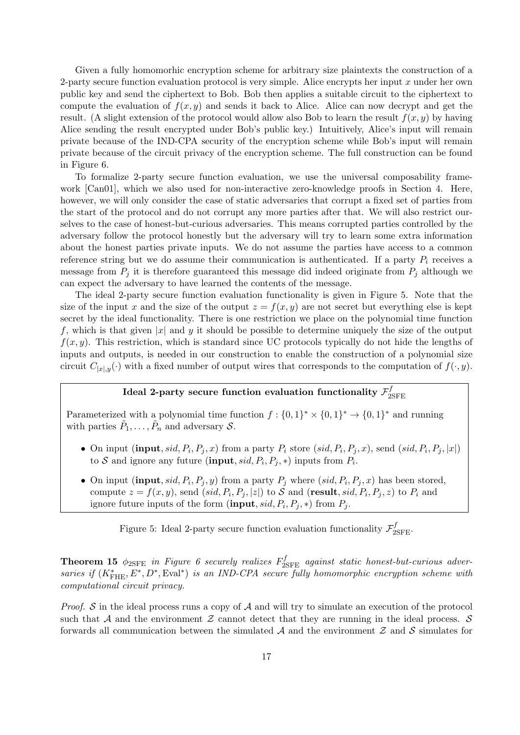Given a fully homomorhic encryption scheme for arbitrary size plaintexts the construction of a 2-party secure function evaluation protocol is very simple. Alice encrypts her input  $x$  under her own public key and send the ciphertext to Bob. Bob then applies a suitable circuit to the ciphertext to compute the evaluation of  $f(x, y)$  and sends it back to Alice. Alice can now decrypt and get the result. (A slight extension of the protocol would allow also Bob to learn the result  $f(x, y)$  by having Alice sending the result encrypted under Bob's public key.) Intuitively, Alice's input will remain private because of the IND-CPA security of the encryption scheme while Bob's input will remain private because of the circuit privacy of the encryption scheme. The full construction can be found in Figure 6.

To formalize 2-party secure function evaluation, we use the universal composability framework [Can01], which we also used for non-interactive zero-knowledge proofs in Section 4. Here, however, we will only consider the case of static adversaries that corrupt a fixed set of parties from the start of the protocol and do not corrupt any more parties after that. We will also restrict ourselves to the case of honest-but-curious adversaries. This means corrupted parties controlled by the adversary follow the protocol honestly but the adversary will try to learn some extra information about the honest parties private inputs. We do not assume the parties have access to a common reference string but we do assume their communication is authenticated. If a party  $P_i$  receives a message from  $P_i$  it is therefore guaranteed this message did indeed originate from  $P_i$  although we can expect the adversary to have learned the contents of the message.

The ideal 2-party secure function evaluation functionality is given in Figure 5. Note that the size of the input x and the size of the output  $z = f(x, y)$  are not secret but everything else is kept secret by the ideal functionality. There is one restriction we place on the polynomial time function f, which is that given |x| and y it should be possible to determine uniquely the size of the output  $f(x, y)$ . This restriction, which is standard since UC protocols typically do not hide the lengths of inputs and outputs, is needed in our construction to enable the construction of a polynomial size circuit  $C_{|x|,y}(\cdot)$  with a fixed number of output wires that corresponds to the computation of  $f(\cdot, y)$ .

#### Ideal 2-party secure function evaluation functionality  $\mathcal{F}^f_2$ 2SFE

Parameterized with a polynomial time function  $f: \{0,1\}^* \times \{0,1\}^* \to \{0,1\}^*$  and running with parties  $\tilde{P}_1, \ldots, \tilde{P}_n$  and adversary  $S$ .

- On input  $(\text{input}, sid, P_i, P_j, x)$  from a party  $P_i$  store  $(sid, P_i, P_j, x)$ , send  $(sid, P_i, P_j, |x|)$ to S and ignore any future (**input**,  $sid, P_i, P_j, *)$  inputs from  $P_i$ .
- On input (input, sid,  $P_i$ ,  $P_j$ , y) from a party  $P_j$  where  $(sid, P_i, P_j, x)$  has been stored, compute  $z = f(x, y)$ , send  $(sid, P_i, P_j, |z|)$  to S and (result, sid,  $P_i, P_j, z)$  to  $P_i$  and ignore future inputs of the form  $(\text{input}, sid, P_i, P_j, *)$  from  $P_j$ .

Figure 5: Ideal 2-party secure function evaluation functionality  $\mathcal{F}_{2\rm SFE}^f$ .

**Theorem 15**  $\phi_{2SFE}$  in Figure 6 securely realizes  $F_{2SFE}^f$  against static honest-but-curious adversaries if  $(K^*_{\text{FHE}}, E^*, D^*, \text{Eval}^*)$  is an IND-CPA secure fully homomorphic encryption scheme with computational circuit privacy.

*Proof.* S in the ideal process runs a copy of  $A$  and will try to simulate an execution of the protocol such that A and the environment Z cannot detect that they are running in the ideal process.  $S$ forwards all communication between the simulated  $A$  and the environment  $Z$  and  $S$  simulates for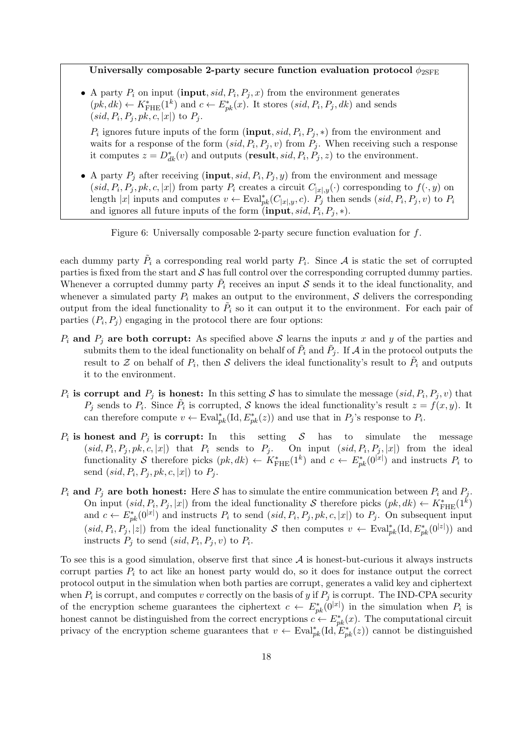Universally composable 2-party secure function evaluation protocol  $\phi_{2\text{SFE}}$ 

• A party  $P_i$  on input (input,  $sid, P_i, P_j, x$ ) from the environment generates  $(pk, dk) \leftarrow K^*_{\text{FHE}}(1^k)$  and  $c \leftarrow E^*_{pk}(x)$ . It stores  $(side, P_i, P_j, dk)$  and sends  $(sid, P_i, P_j, pk, c, |x|)$  to  $P_j$ .

 $P_i$  ignores future inputs of the form (input, sid,  $P_i$ ,  $P_j$ , \*) from the environment and waits for a response of the form  $(sid, P_i, P_j, v)$  from  $P_j$ . When receiving such a response it computes  $z = D_{dk}^*(v)$  and outputs (**result**, sid,  $P_i$ ,  $P_j$ , z) to the environment.

• A party  $P_j$  after receiving (input, sid,  $P_i$ ,  $P_j$ , y) from the environment and message  $(sid, P_i, P_j, pk, c, |x|)$  from party  $P_i$  creates a circuit  $C_{|x|,y}(\cdot)$  corresponding to  $f(\cdot, y)$  on length |x| inputs and computes  $v \leftarrow \text{Eval}_{pk}^*(C_{|x|,y}, c)$ .  $P_j$  then sends  $(sid, P_i, P_j, v)$  to  $P_i$ and ignores all future inputs of the form  $(\text{input}, sid, P_i, P_j, *)$ .

Figure 6: Universally composable 2-party secure function evaluation for  $f$ .

each dummy party  $\tilde{P}_i$  a corresponding real world party  $P_i$ . Since A is static the set of corrupted parties is fixed from the start and  $\mathcal S$  has full control over the corresponding corrupted dummy parties. Whenever a corrupted dummy party  $\tilde{P}_i$  receives an input S sends it to the ideal functionality, and whenever a simulated party  $P_i$  makes an output to the environment,  $S$  delivers the corresponding output from the ideal functionality to  $\tilde{P}_i$  so it can output it to the environment. For each pair of parties  $(P_i, P_j)$  engaging in the protocol there are four options:

- $P_i$  and  $P_j$  are both corrupt: As specified above S learns the inputs x and y of the parties and submits them to the ideal functionality on behalf of  $\tilde{P}_i$  and  $\tilde{P}_j$ . If  ${\cal A}$  in the protocol outputs the result to Z on behalf of  $P_i$ , then S delivers the ideal functionality's result to  $\tilde{P}_i$  and outputs it to the environment.
- $P_i$  is corrupt and  $P_j$  is honest: In this setting S has to simulate the message (sid,  $P_i, P_j, v$ ) that  $P_j$  sends to  $P_i$ . Since  $\tilde{P}_i$  is corrupted, S knows the ideal functionality's result  $z = f(x, y)$ . It can therefore compute  $v \leftarrow \text{Eval}_{pk}^*(\text{Id}, E_{pk}^*(z))$  and use that in  $P_j$ 's response to  $P_i$ .
- $P_i$  is honest and  $P_j$  is corrupt: In this setting S has to simulate the message  $(sid, P_i, P_j, pk, c, |x|)$  that  $P_i$  sends to  $P_j$ . On input  $(sid, P_i, P_j, |x|)$  from the ideal functionality S therefore picks  $(pk, dk) \leftarrow K^*_{\text{FHE}}(1^k)$  and  $c \leftarrow E^*_{pk}(0^{|\mathbf{x}|})$  and instructs  $P_i$  to send  $(sid, P_i, P_j, pk, c, |x|)$  to  $P_j$ .
- $P_i$  and  $P_j$  are both honest: Here S has to simulate the entire communication between  $P_i$  and  $P_j$ . On input  $(sid, P_i, P_j, |x|)$  from the ideal functionality S therefore picks  $(pk, dk) \leftarrow K^*_{\text{FHE}}(1^k)$ and  $c \leftarrow E_{pk}^*(0^{|x|})$  and instructs  $P_i$  to send  $(sid, P_i, P_j, pk, c, |x|)$  to  $P_j$ . On subsequent input  $(sid, P_i, P_j, |z|)$  from the ideal functionality S then computes  $v \leftarrow \text{Eval}_{pk}^*(\text{Id}, E_{pk}^*(0^{|z|}))$  and instructs  $P_j$  to send  $(sid, P_i, P_j, v)$  to  $P_i$ .

To see this is a good simulation, observe first that since  $A$  is honest-but-curious it always instructs corrupt parties  $P_i$  to act like an honest party would do, so it does for instance output the correct protocol output in the simulation when both parties are corrupt, generates a valid key and ciphertext when  $P_i$  is corrupt, and computes v correctly on the basis of y if  $P_j$  is corrupt. The IND-CPA security of the encryption scheme guarantees the ciphertext  $c \leftarrow E_{pk}^*(0^{|x|})$  in the simulation when  $P_i$  is honest cannot be distinguished from the correct encryptions  $c \leftarrow E_{pk}^*(x)$ . The computational circuit privacy of the encryption scheme guarantees that  $v \leftarrow \text{Eval}_{pk}^{*}(\text{Id}, \widetilde{E}_{pk}^{*}(z))$  cannot be distinguished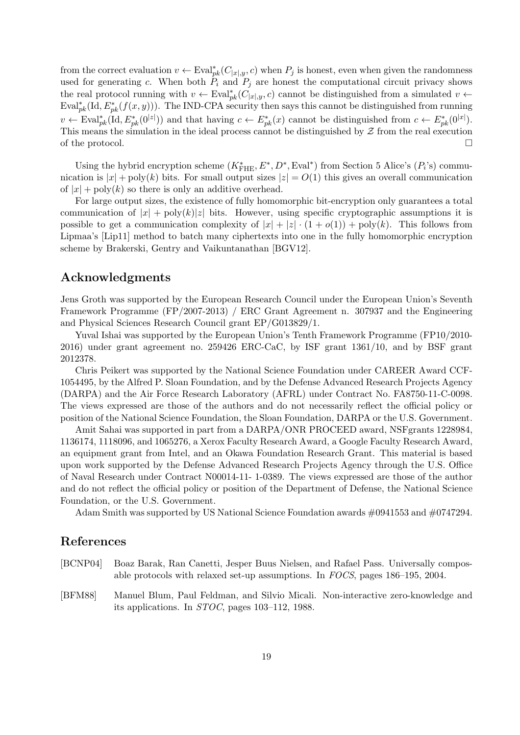from the correct evaluation  $v \leftarrow \text{Eval}_{pk}^*(C_{|x|,y}, c)$  when  $P_j$  is honest, even when given the randomness used for generating c. When both  $P_i$  and  $P_j$  are honest the computational circuit privacy shows the real protocol running with  $v \leftarrow \text{Eval}_{pk}^*(C_{|x|,y}, c)$  cannot be distinguished from a simulated  $v \leftarrow$  $\text{Eval}_{pk}^{*}(\text{Id}, E_{pk}^{*}(f(x, y)))$ . The IND-CPA security then says this cannot be distinguished from running  $v \leftarrow \text{Eval}_{pk}^{*}(\text{Id}, E_{pk}^{*}(0^{|z|}))$  and that having  $c \leftarrow E_{pk}^{*}(x)$  cannot be distinguished from  $c \leftarrow E_{pk}^{*}(0^{|x|}).$ This means the simulation in the ideal process cannot be distinguished by  $\mathcal Z$  from the real execution of the protocol.  $\Box$ 

Using the hybrid encryption scheme  $(K^*_{\text{FHE}}, E^*, D^*, \text{Eval}^*)$  from Section 5 Alice's  $(P_i$ 's) communication is  $|x| + \text{poly}(k)$  bits. For small output sizes  $|z| = O(1)$  this gives an overall communication of  $|x| + \text{poly}(k)$  so there is only an additive overhead.

For large output sizes, the existence of fully homomorphic bit-encryption only guarantees a total communication of  $|x| + poly(k)|z|$  bits. However, using specific cryptographic assumptions it is possible to get a communication complexity of  $|x| + |z| \cdot (1 + o(1)) + \text{poly}(k)$ . This follows from Lipmaa's [Lip11] method to batch many ciphertexts into one in the fully homomorphic encryption scheme by Brakerski, Gentry and Vaikuntanathan [BGV12].

### Acknowledgments

Jens Groth was supported by the European Research Council under the European Union's Seventh Framework Programme (FP/2007-2013) / ERC Grant Agreement n. 307937 and the Engineering and Physical Sciences Research Council grant EP/G013829/1.

Yuval Ishai was supported by the European Union's Tenth Framework Programme (FP10/2010-2016) under grant agreement no. 259426 ERC-CaC, by ISF grant 1361/10, and by BSF grant 2012378.

Chris Peikert was supported by the National Science Foundation under CAREER Award CCF-1054495, by the Alfred P. Sloan Foundation, and by the Defense Advanced Research Projects Agency (DARPA) and the Air Force Research Laboratory (AFRL) under Contract No. FA8750-11-C-0098. The views expressed are those of the authors and do not necessarily reflect the official policy or position of the National Science Foundation, the Sloan Foundation, DARPA or the U.S. Government.

Amit Sahai was supported in part from a DARPA/ONR PROCEED award, NSFgrants 1228984, 1136174, 1118096, and 1065276, a Xerox Faculty Research Award, a Google Faculty Research Award, an equipment grant from Intel, and an Okawa Foundation Research Grant. This material is based upon work supported by the Defense Advanced Research Projects Agency through the U.S. Office of Naval Research under Contract N00014-11- 1-0389. The views expressed are those of the author and do not reflect the official policy or position of the Department of Defense, the National Science Foundation, or the U.S. Government.

Adam Smith was supported by US National Science Foundation awards #0941553 and #0747294.

### References

- [BCNP04] Boaz Barak, Ran Canetti, Jesper Buus Nielsen, and Rafael Pass. Universally composable protocols with relaxed set-up assumptions. In FOCS, pages 186–195, 2004.
- [BFM88] Manuel Blum, Paul Feldman, and Silvio Micali. Non-interactive zero-knowledge and its applications. In STOC, pages 103–112, 1988.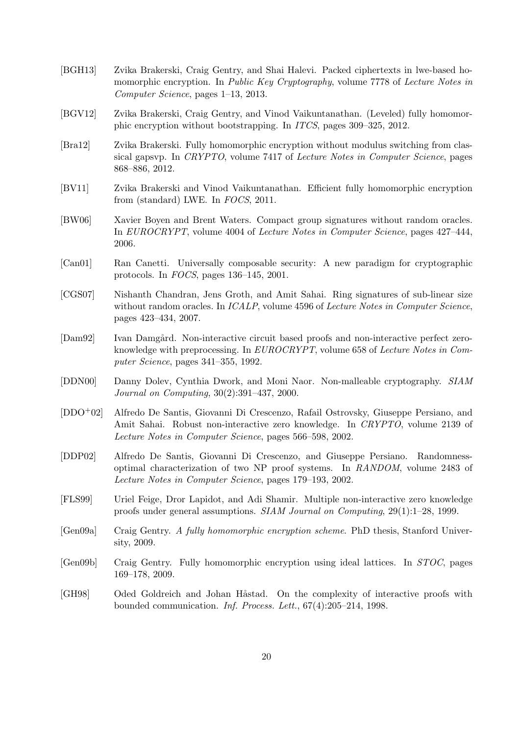- [BGH13] Zvika Brakerski, Craig Gentry, and Shai Halevi. Packed ciphertexts in lwe-based homomorphic encryption. In *Public Key Cryptography*, volume 7778 of Lecture Notes in Computer Science, pages 1–13, 2013.
- [BGV12] Zvika Brakerski, Craig Gentry, and Vinod Vaikuntanathan. (Leveled) fully homomorphic encryption without bootstrapping. In ITCS, pages 309–325, 2012.
- [Bra12] Zvika Brakerski. Fully homomorphic encryption without modulus switching from classical gapsvp. In CRYPTO, volume 7417 of Lecture Notes in Computer Science, pages 868–886, 2012.
- [BV11] Zvika Brakerski and Vinod Vaikuntanathan. Efficient fully homomorphic encryption from (standard) LWE. In FOCS, 2011.
- [BW06] Xavier Boyen and Brent Waters. Compact group signatures without random oracles. In EUROCRYPT, volume 4004 of Lecture Notes in Computer Science, pages 427–444, 2006.
- [Can01] Ran Canetti. Universally composable security: A new paradigm for cryptographic protocols. In FOCS, pages 136–145, 2001.
- [CGS07] Nishanth Chandran, Jens Groth, and Amit Sahai. Ring signatures of sub-linear size without random oracles. In *ICALP*, volume 4596 of *Lecture Notes in Computer Science*, pages 423–434, 2007.
- [Dam92] Ivan Damgård. Non-interactive circuit based proofs and non-interactive perfect zeroknowledge with preprocessing. In EUROCRYPT, volume 658 of Lecture Notes in Computer Science, pages 341–355, 1992.
- [DDN00] Danny Dolev, Cynthia Dwork, and Moni Naor. Non-malleable cryptography. SIAM Journal on Computing, 30(2):391–437, 2000.
- [DDO+02] Alfredo De Santis, Giovanni Di Crescenzo, Rafail Ostrovsky, Giuseppe Persiano, and Amit Sahai. Robust non-interactive zero knowledge. In CRYPTO, volume 2139 of Lecture Notes in Computer Science, pages 566–598, 2002.
- [DDP02] Alfredo De Santis, Giovanni Di Crescenzo, and Giuseppe Persiano. Randomnessoptimal characterization of two NP proof systems. In RANDOM, volume 2483 of Lecture Notes in Computer Science, pages 179–193, 2002.
- [FLS99] Uriel Feige, Dror Lapidot, and Adi Shamir. Multiple non-interactive zero knowledge proofs under general assumptions. SIAM Journal on Computing, 29(1):1–28, 1999.
- [Gen09a] Craig Gentry. A fully homomorphic encryption scheme. PhD thesis, Stanford University, 2009.
- [Gen09b] Craig Gentry. Fully homomorphic encryption using ideal lattices. In STOC, pages 169–178, 2009.
- [GH98] Oded Goldreich and Johan Håstad. On the complexity of interactive proofs with bounded communication. Inf. Process. Lett., 67(4):205–214, 1998.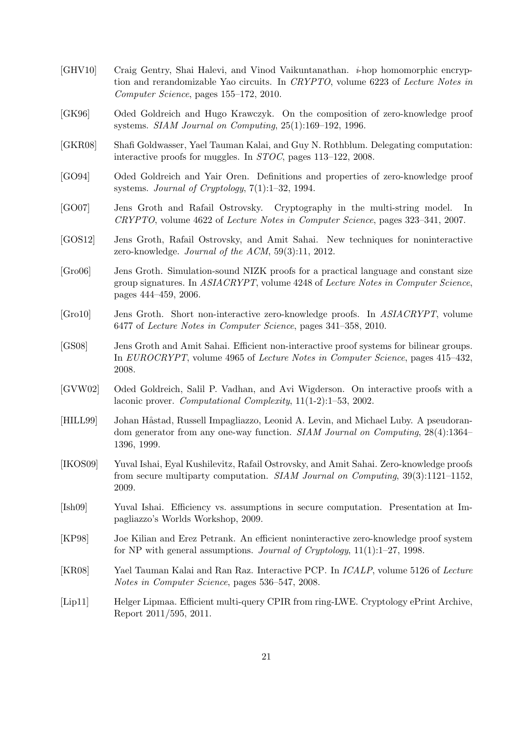- [GHV10] Craig Gentry, Shai Halevi, and Vinod Vaikuntanathan. i-hop homomorphic encryption and rerandomizable Yao circuits. In CRYPTO, volume 6223 of Lecture Notes in Computer Science, pages 155–172, 2010.
- [GK96] Oded Goldreich and Hugo Krawczyk. On the composition of zero-knowledge proof systems. SIAM Journal on Computing, 25(1):169–192, 1996.
- [GKR08] Shafi Goldwasser, Yael Tauman Kalai, and Guy N. Rothblum. Delegating computation: interactive proofs for muggles. In STOC, pages 113–122, 2008.
- [GO94] Oded Goldreich and Yair Oren. Definitions and properties of zero-knowledge proof systems. Journal of Cryptology, 7(1):1–32, 1994.
- [GO07] Jens Groth and Rafail Ostrovsky. Cryptography in the multi-string model. In CRYPTO, volume 4622 of Lecture Notes in Computer Science, pages 323–341, 2007.
- [GOS12] Jens Groth, Rafail Ostrovsky, and Amit Sahai. New techniques for noninteractive zero-knowledge. Journal of the ACM, 59(3):11, 2012.
- [Gro06] Jens Groth. Simulation-sound NIZK proofs for a practical language and constant size group signatures. In ASIACRYPT, volume 4248 of Lecture Notes in Computer Science, pages 444–459, 2006.
- [Gro10] Jens Groth. Short non-interactive zero-knowledge proofs. In ASIACRYPT, volume 6477 of Lecture Notes in Computer Science, pages 341–358, 2010.
- [GS08] Jens Groth and Amit Sahai. Efficient non-interactive proof systems for bilinear groups. In EUROCRYPT, volume 4965 of Lecture Notes in Computer Science, pages 415–432, 2008.
- [GVW02] Oded Goldreich, Salil P. Vadhan, and Avi Wigderson. On interactive proofs with a laconic prover. Computational Complexity, 11(1-2):1–53, 2002.
- [HILL99] Johan Håstad, Russell Impagliazzo, Leonid A. Levin, and Michael Luby. A pseudorandom generator from any one-way function. *SIAM Journal on Computing*, 28(4):1364– 1396, 1999.
- [IKOS09] Yuval Ishai, Eyal Kushilevitz, Rafail Ostrovsky, and Amit Sahai. Zero-knowledge proofs from secure multiparty computation. SIAM Journal on Computing, 39(3):1121–1152, 2009.
- [Ish09] Yuval Ishai. Efficiency vs. assumptions in secure computation. Presentation at Impagliazzo's Worlds Workshop, 2009.
- [KP98] Joe Kilian and Erez Petrank. An efficient noninteractive zero-knowledge proof system for NP with general assumptions. Journal of Cryptology, 11(1):1–27, 1998.
- [KR08] Yael Tauman Kalai and Ran Raz. Interactive PCP. In ICALP, volume 5126 of Lecture Notes in Computer Science, pages 536–547, 2008.
- [Lip11] Helger Lipmaa. Efficient multi-query CPIR from ring-LWE. Cryptology ePrint Archive, Report 2011/595, 2011.